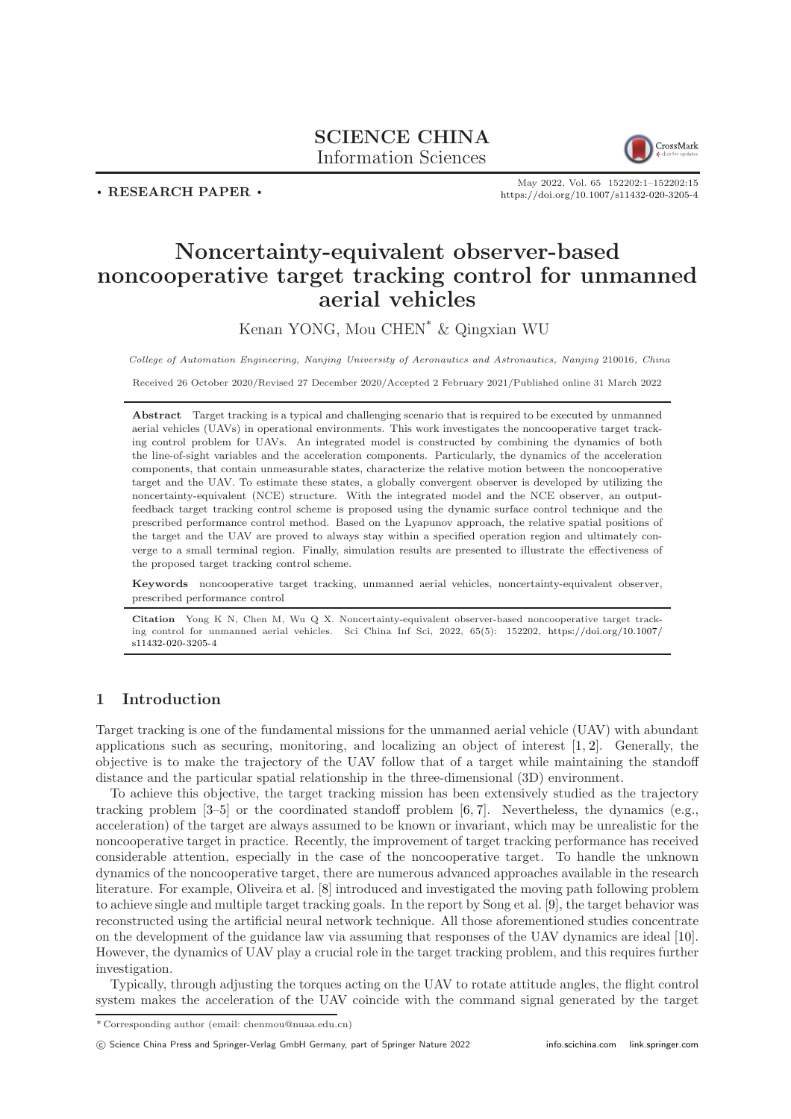# SCIENCE CHINA Information Sciences



. RESEARCH PAPER .

May 2022, Vol. 65 152202:1–152202[:15](#page-14-0) <https://doi.org/10.1007/s11432-020-3205-4>

# Noncertainty-equivalent observer-based noncooperative target tracking control for unmanned aerial vehicles

Kenan YONG, Mou CHEN\* & Qingxian WU

College of Automation Engineering, Nanjing University of Aeronautics and Astronautics, Nanjing 210016, China

Received 26 October 2020/Revised 27 December 2020/Accepted 2 February 2021/Published online 31 March 2022

Abstract Target tracking is a typical and challenging scenario that is required to be executed by unmanned aerial vehicles (UAVs) in operational environments. This work investigates the noncooperative target tracking control problem for UAVs. An integrated model is constructed by combining the dynamics of both the line-of-sight variables and the acceleration components. Particularly, the dynamics of the acceleration components, that contain unmeasurable states, characterize the relative motion between the noncooperative target and the UAV. To estimate these states, a globally convergent observer is developed by utilizing the noncertainty-equivalent (NCE) structure. With the integrated model and the NCE observer, an outputfeedback target tracking control scheme is proposed using the dynamic surface control technique and the prescribed performance control method. Based on the Lyapunov approach, the relative spatial positions of the target and the UAV are proved to always stay within a specified operation region and ultimately converge to a small terminal region. Finally, simulation results are presented to illustrate the effectiveness of the proposed target tracking control scheme.

Keywords noncooperative target tracking, unmanned aerial vehicles, noncertainty-equivalent observer, prescribed performance control

Citation Yong K N, Chen M, Wu Q X. Noncertainty-equivalent observer-based noncooperative target tracking control for unmanned aerial vehicles. Sci China Inf Sci, 2022, 65(5): 152202, [https://doi.org/10.1007/](https://doi.org/10.1007/s11432-020-3205-4) [s11432-020-3205-4](https://doi.org/10.1007/s11432-020-3205-4)

# 1 Introduction

Target tracking is one of the fundamental missions for the unmanned aerial vehicle (UAV) with abundant applications such as securing, monitoring, and localizing an object of interest [\[1,](#page-13-0) [2\]](#page-13-1). Generally, the objective is to make the trajectory of the UAV follow that of a target while maintaining the standoff distance and the particular spatial relationship in the three-dimensional (3D) environment.

To achieve this objective, the target tracking mission has been extensively studied as the trajectory tracking problem [\[3](#page-13-2)[–5\]](#page-13-3) or the coordinated standoff problem [\[6,](#page-13-4) [7\]](#page-13-5). Nevertheless, the dynamics (e.g., acceleration) of the target are always assumed to be known or invariant, which may be unrealistic for the noncooperative target in practice. Recently, the improvement of target tracking performance has received considerable attention, especially in the case of the noncooperative target. To handle the unknown dynamics of the noncooperative target, there are numerous advanced approaches available in the research literature. For example, Oliveira et al. [\[8\]](#page-13-6) introduced and investigated the moving path following problem to achieve single and multiple target tracking goals. In the report by Song et al. [\[9\]](#page-13-7), the target behavior was reconstructed using the artificial neural network technique. All those aforementioned studies concentrate on the development of the guidance law via assuming that responses of the UAV dynamics are ideal [\[10\]](#page-13-8). However, the dynamics of UAV play a crucial role in the target tracking problem, and this requires further investigation.

Typically, through adjusting the torques acting on the UAV to rotate attitude angles, the flight control system makes the acceleration of the UAV coincide with the command signal generated by the target

<sup>\*</sup> Corresponding author (email: chenmou@nuaa.edu.cn)

c Science China Press and Springer-Verlag GmbH Germany, part of Springer Nature 2022 <info.scichina.com><link.springer.com>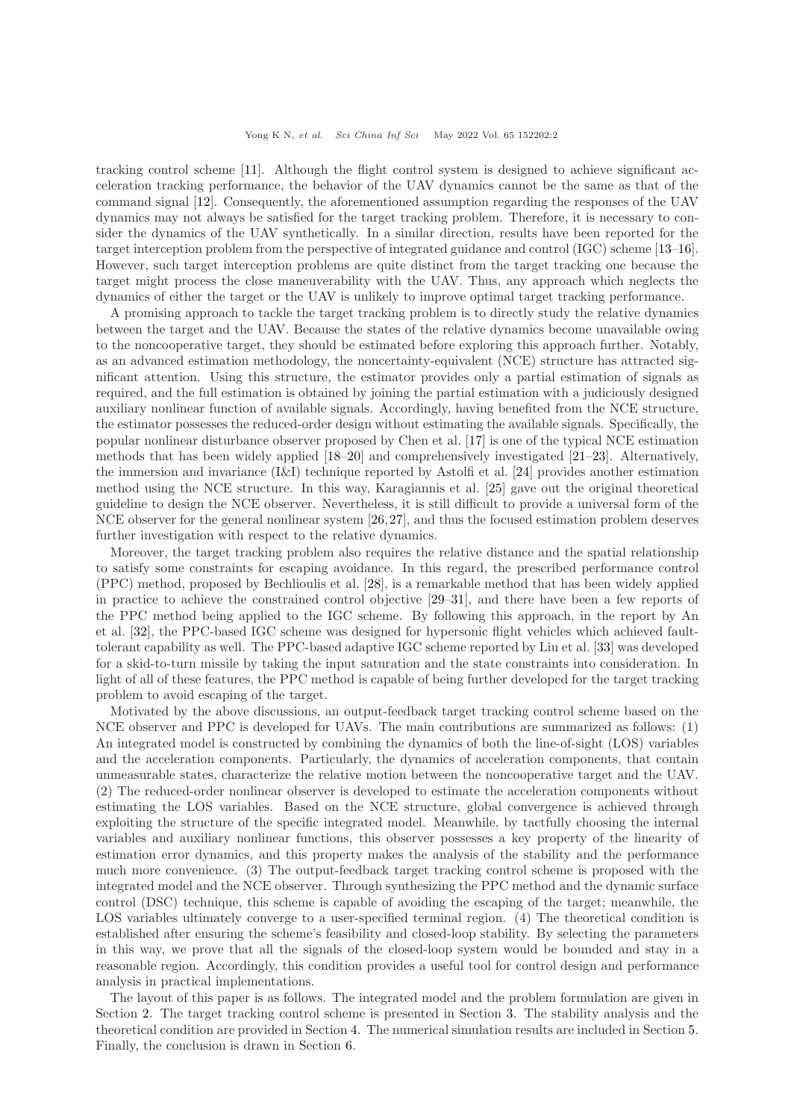tracking control scheme [\[11\]](#page-13-9). Although the flight control system is designed to achieve significant acceleration tracking performance, the behavior of the UAV dynamics cannot be the same as that of the command signal [\[12\]](#page-13-10). Consequently, the aforementioned assumption regarding the responses of the UAV dynamics may not always be satisfied for the target tracking problem. Therefore, it is necessary to consider the dynamics of the UAV synthetically. In a similar direction, results have been reported for the target interception problem from the perspective of integrated guidance and control (IGC) scheme [\[13](#page-13-11)[–16\]](#page-13-12). However, such target interception problems are quite distinct from the target tracking one because the target might process the close maneuverability with the UAV. Thus, any approach which neglects the dynamics of either the target or the UAV is unlikely to improve optimal target tracking performance.

A promising approach to tackle the target tracking problem is to directly study the relative dynamics between the target and the UAV. Because the states of the relative dynamics become unavailable owing to the noncooperative target, they should be estimated before exploring this approach further. Notably, as an advanced estimation methodology, the noncertainty-equivalent (NCE) structure has attracted significant attention. Using this structure, the estimator provides only a partial estimation of signals as required, and the full estimation is obtained by joining the partial estimation with a judiciously designed auxiliary nonlinear function of available signals. Accordingly, having benefited from the NCE structure, the estimator possesses the reduced-order design without estimating the available signals. Specifically, the popular nonlinear disturbance observer proposed by Chen et al. [\[17\]](#page-13-13) is one of the typical NCE estimation methods that has been widely applied [\[18](#page-13-14)[–20\]](#page-13-15) and comprehensively investigated [\[21–](#page-14-1)[23\]](#page-14-2). Alternatively, the immersion and invariance (I&I) technique reported by Astolfi et al. [\[24\]](#page-14-3) provides another estimation method using the NCE structure. In this way, Karagiannis et al. [\[25\]](#page-14-4) gave out the original theoretical guideline to design the NCE observer. Nevertheless, it is still difficult to provide a universal form of the NCE observer for the general nonlinear system [\[26,](#page-14-5)[27\]](#page-14-6), and thus the focused estimation problem deserves further investigation with respect to the relative dynamics.

Moreover, the target tracking problem also requires the relative distance and the spatial relationship to satisfy some constraints for escaping avoidance. In this regard, the prescribed performance control (PPC) method, proposed by Bechlioulis et al. [\[28\]](#page-14-7), is a remarkable method that has been widely applied in practice to achieve the constrained control objective [\[29](#page-14-8)[–31\]](#page-14-9), and there have been a few reports of the PPC method being applied to the IGC scheme. By following this approach, in the report by An et al. [\[32\]](#page-14-10), the PPC-based IGC scheme was designed for hypersonic flight vehicles which achieved faulttolerant capability as well. The PPC-based adaptive IGC scheme reported by Liu et al. [\[33\]](#page-14-11) was developed for a skid-to-turn missile by taking the input saturation and the state constraints into consideration. In light of all of these features, the PPC method is capable of being further developed for the target tracking problem to avoid escaping of the target.

Motivated by the above discussions, an output-feedback target tracking control scheme based on the NCE observer and PPC is developed for UAVs. The main contributions are summarized as follows: (1) An integrated model is constructed by combining the dynamics of both the line-of-sight (LOS) variables and the acceleration components. Particularly, the dynamics of acceleration components, that contain unmeasurable states, characterize the relative motion between the noncooperative target and the UAV. (2) The reduced-order nonlinear observer is developed to estimate the acceleration components without estimating the LOS variables. Based on the NCE structure, global convergence is achieved through exploiting the structure of the specific integrated model. Meanwhile, by tactfully choosing the internal variables and auxiliary nonlinear functions, this observer possesses a key property of the linearity of estimation error dynamics, and this property makes the analysis of the stability and the performance much more convenience. (3) The output-feedback target tracking control scheme is proposed with the integrated model and the NCE observer. Through synthesizing the PPC method and the dynamic surface control (DSC) technique, this scheme is capable of avoiding the escaping of the target; meanwhile, the LOS variables ultimately converge to a user-specified terminal region. (4) The theoretical condition is established after ensuring the scheme's feasibility and closed-loop stability. By selecting the parameters in this way, we prove that all the signals of the closed-loop system would be bounded and stay in a reasonable region. Accordingly, this condition provides a useful tool for control design and performance analysis in practical implementations.

The layout of this paper is as follows. The integrated model and the problem formulation are given in Section [2.](#page-2-0) The target tracking control scheme is presented in Section [3.](#page-4-0) The stability analysis and the theoretical condition are provided in Section [4.](#page-7-0) The numerical simulation results are included in Section [5.](#page-9-0) Finally, the conclusion is drawn in Section [6.](#page-13-16)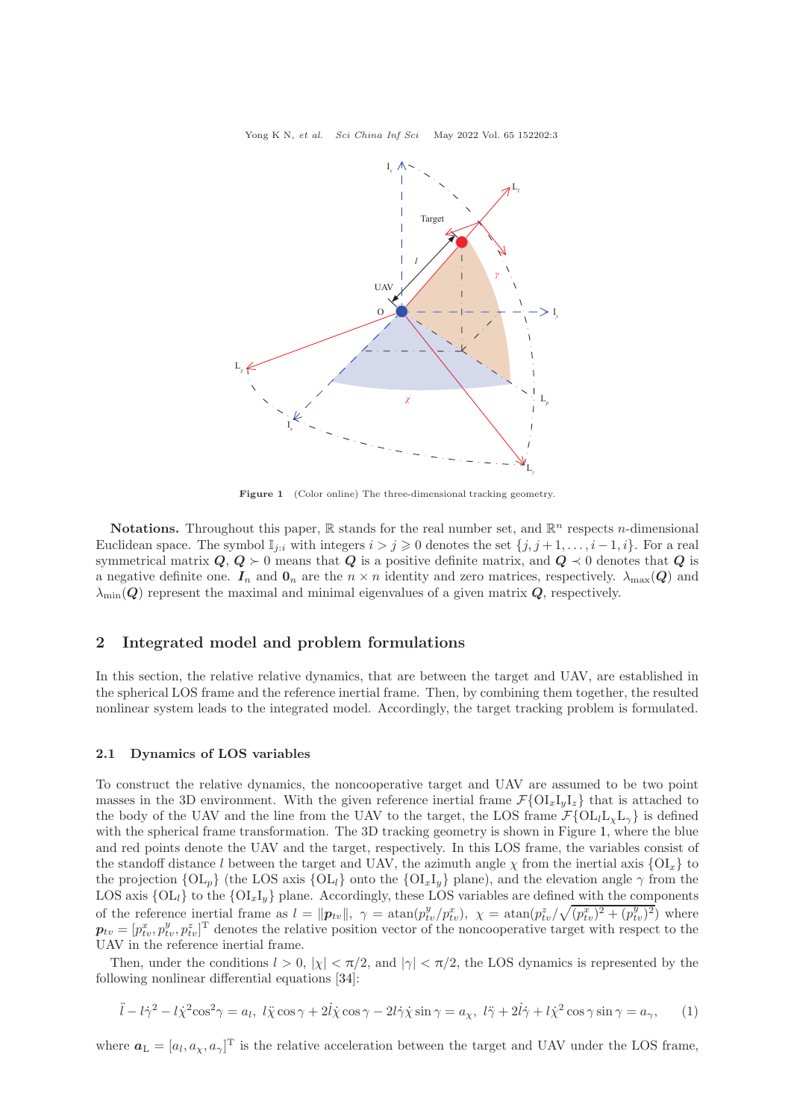Yong K N, et al. Sci China Inf Sci May 2022 Vol. 65 152202:3

<span id="page-2-1"></span>

Figure 1 (Color online) The three-dimensional tracking geometry.

**Notations.** Throughout this paper,  $\mathbb{R}$  stands for the real number set, and  $\mathbb{R}^n$  respects *n*-dimensional Euclidean space. The symbol  $\mathbb{I}_{i:i}$  with integers  $i > j \geq 0$  denotes the set  $\{j, j+1, \ldots, i-1, i\}$ . For a real symmetrical matrix  $Q, Q \succ 0$  means that  $Q$  is a positive definite matrix, and  $Q \prec 0$  denotes that  $Q$  is a negative definite one.  $I_n$  and  $\mathbf{0}_n$  are the  $n \times n$  identity and zero matrices, respectively.  $\lambda_{\text{max}}(Q)$  and  $\lambda_{\min}(Q)$  represent the maximal and minimal eigenvalues of a given matrix  $Q$ , respectively.

# <span id="page-2-0"></span>2 Integrated model and problem formulations

In this section, the relative relative dynamics, that are between the target and UAV, are established in the spherical LOS frame and the reference inertial frame. Then, by combining them together, the resulted nonlinear system leads to the integrated model. Accordingly, the target tracking problem is formulated.

#### 2.1 Dynamics of LOS variables

To construct the relative dynamics, the noncooperative target and UAV are assumed to be two point masses in the 3D environment. With the given reference inertial frame  $\mathcal{F}\{\mathrm{OL}_{x}I_{y}I_{z}\}\)$  that is attached to the body of the UAV and the line from the UAV to the target, the LOS frame  $\mathcal{F}\left\{OL_lL_vL_v\right\}$  is defined with the spherical frame transformation. The 3D tracking geometry is shown in Figure [1,](#page-2-1) where the blue and red points denote the UAV and the target, respectively. In this LOS frame, the variables consist of the standoff distance l between the target and UAV, the azimuth angle  $\chi$  from the inertial axis  ${OI_x}$  to the projection  ${O_n}$  (the LOS axis  ${O_1}$ ) onto the  ${O_1}$ , plane), and the elevation angle  $\gamma$  from the LOS axis  ${OL<sub>l</sub>}$  to the  ${OL<sub>x</sub>I<sub>y</sub>}$  plane. Accordingly, these LOS variables are defined with the components of the reference inertial frame as  $l = ||\boldsymbol{p}_{tv}||$ ,  $\gamma = \text{atan}(p_{tv}^y/p_{tv}^x)$ ,  $\chi = \text{atan}(p_{tv}^z/\sqrt{(p_{tv}^x)^2 + (p_{tv}^y)^2})$  where  $\boldsymbol{p}_{tv} = [p_{tv}^x, p_{tv}^y, p_{tv}^z]^T$  denotes the relative position vector of the noncooperative target with respect to the UAV in the reference inertial frame.

Then, under the conditions  $l > 0$ ,  $|\chi| < \pi/2$ , and  $|\gamma| < \pi/2$ , the LOS dynamics is represented by the following nonlinear differential equations [\[34\]](#page-14-12):

<span id="page-2-2"></span>
$$
\ddot{l} - l\dot{\gamma}^2 - l\dot{\chi}^2 \cos^2 \gamma = a_l, \ l\ddot{\chi} \cos \gamma + 2l\dot{\chi} \cos \gamma - 2l\dot{\gamma}\dot{\chi} \sin \gamma = a_\chi, \ l\ddot{\gamma} + 2l\dot{\gamma} + l\dot{\chi}^2 \cos \gamma \sin \gamma = a_\gamma, \qquad (1)
$$

where  $a_{\text{L}} = [a_l, a_{\chi}, a_{\gamma}]^{\text{T}}$  is the relative acceleration between the target and UAV under the LOS frame,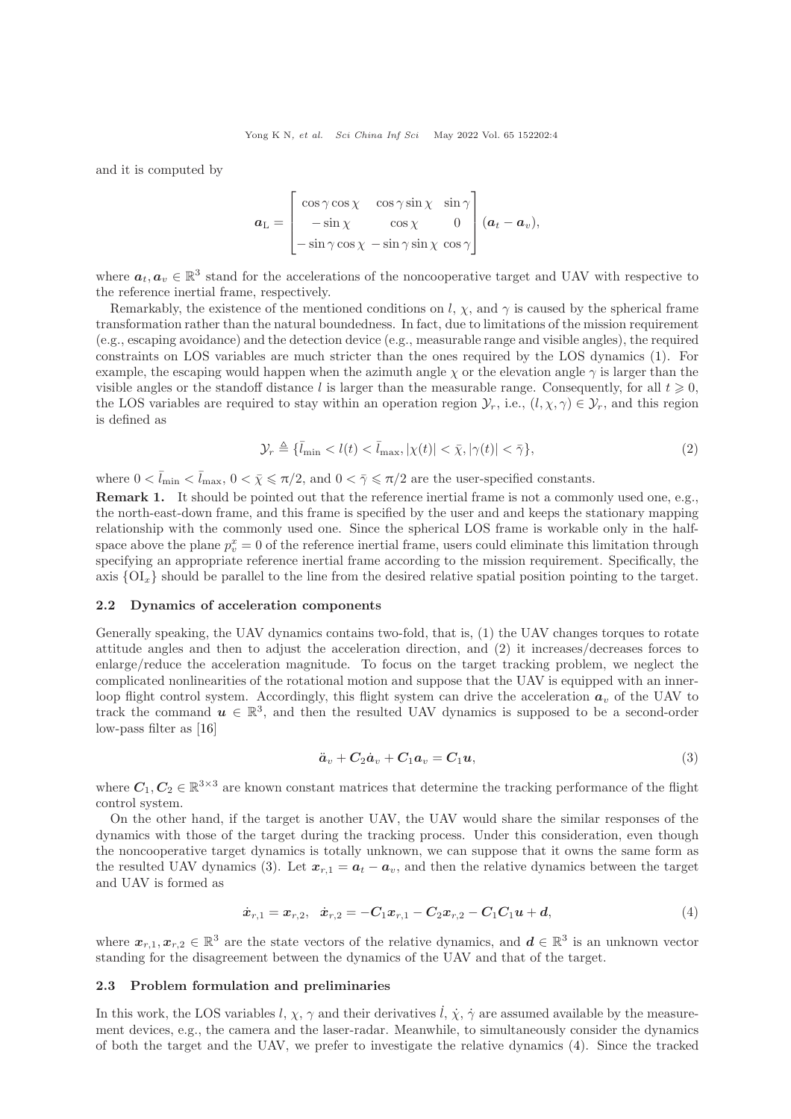and it is computed by

$$
\boldsymbol{a}_{\mathrm{L}} = \begin{bmatrix} \cos \gamma \cos \chi & \cos \gamma \sin \chi & \sin \gamma \\ -\sin \chi & \cos \chi & 0 \\ -\sin \gamma \cos \chi & -\sin \gamma \sin \chi & \cos \gamma \end{bmatrix} (\boldsymbol{a}_{t} - \boldsymbol{a}_{v}),
$$

where  $a_t, a_v \in \mathbb{R}^3$  stand for the accelerations of the noncooperative target and UAV with respective to the reference inertial frame, respectively.

Remarkably, the existence of the mentioned conditions on l,  $\chi$ , and  $\gamma$  is caused by the spherical frame transformation rather than the natural boundedness. In fact, due to limitations of the mission requirement (e.g., escaping avoidance) and the detection device (e.g., measurable range and visible angles), the required constraints on LOS variables are much stricter than the ones required by the LOS dynamics [\(1\)](#page-2-2). For example, the escaping would happen when the azimuth angle  $\chi$  or the elevation angle  $\gamma$  is larger than the visible angles or the standoff distance l is larger than the measurable range. Consequently, for all  $t \geq 0$ , the LOS variables are required to stay within an operation region  $\mathcal{Y}_r$ , i.e.,  $(l, \chi, \gamma) \in \mathcal{Y}_r$ , and this region is defined as

<span id="page-3-2"></span>
$$
\mathcal{Y}_r \triangleq \{\bar{l}_{\min} < l(t) < \bar{l}_{\max}, |\chi(t)| < \bar{\chi}, |\gamma(t)| < \bar{\gamma}\},\tag{2}
$$

where  $0 < \bar{l}_{\text{min}} < \bar{l}_{\text{max}}$ ,  $0 < \bar{\chi} \le \pi/2$ , and  $0 < \bar{\gamma} \le \pi/2$  are the user-specified constants.

Remark 1. It should be pointed out that the reference inertial frame is not a commonly used one, e.g., the north-east-down frame, and this frame is specified by the user and and keeps the stationary mapping relationship with the commonly used one. Since the spherical LOS frame is workable only in the halfspace above the plane  $p_v^x = 0$  of the reference inertial frame, users could eliminate this limitation through specifying an appropriate reference inertial frame according to the mission requirement. Specifically, the axis  ${OI_x}$  should be parallel to the line from the desired relative spatial position pointing to the target.

#### 2.2 Dynamics of acceleration components

Generally speaking, the UAV dynamics contains two-fold, that is, (1) the UAV changes torques to rotate attitude angles and then to adjust the acceleration direction, and (2) it increases/decreases forces to enlarge/reduce the acceleration magnitude. To focus on the target tracking problem, we neglect the complicated nonlinearities of the rotational motion and suppose that the UAV is equipped with an innerloop flight control system. Accordingly, this flight system can drive the acceleration  $a<sub>v</sub>$  of the UAV to track the command  $u \in \mathbb{R}^3$ , and then the resulted UAV dynamics is supposed to be a second-order low-pass filter as [\[16\]](#page-13-12)

<span id="page-3-1"></span><span id="page-3-0"></span>
$$
\ddot{a}_v + C_2 \dot{a}_v + C_1 a_v = C_1 u,\tag{3}
$$

where  $C_1, C_2 \in \mathbb{R}^{3 \times 3}$  are known constant matrices that determine the tracking performance of the flight control system.

On the other hand, if the target is another UAV, the UAV would share the similar responses of the dynamics with those of the target during the tracking process. Under this consideration, even though the noncooperative target dynamics is totally unknown, we can suppose that it owns the same form as the resulted UAV dynamics [\(3\)](#page-3-0). Let  $x_{r,1} = a_t - a_v$ , and then the relative dynamics between the target and UAV is formed as

$$
\dot{\boldsymbol{x}}_{r,1} = \boldsymbol{x}_{r,2}, \quad \dot{\boldsymbol{x}}_{r,2} = -C_1 \boldsymbol{x}_{r,1} - C_2 \boldsymbol{x}_{r,2} - C_1 C_1 \boldsymbol{u} + \boldsymbol{d}, \tag{4}
$$

where  $x_{r,1}, x_{r,2} \in \mathbb{R}^3$  are the state vectors of the relative dynamics, and  $d \in \mathbb{R}^3$  is an unknown vector standing for the disagreement between the dynamics of the UAV and that of the target.

#### 2.3 Problem formulation and preliminaries

In this work, the LOS variables l,  $\chi$ ,  $\gamma$  and their derivatives l,  $\dot{\chi}$ ,  $\dot{\gamma}$  are assumed available by the measurement devices, e.g., the camera and the laser-radar. Meanwhile, to simultaneously consider the dynamics of both the target and the UAV, we prefer to investigate the relative dynamics [\(4\)](#page-3-1). Since the tracked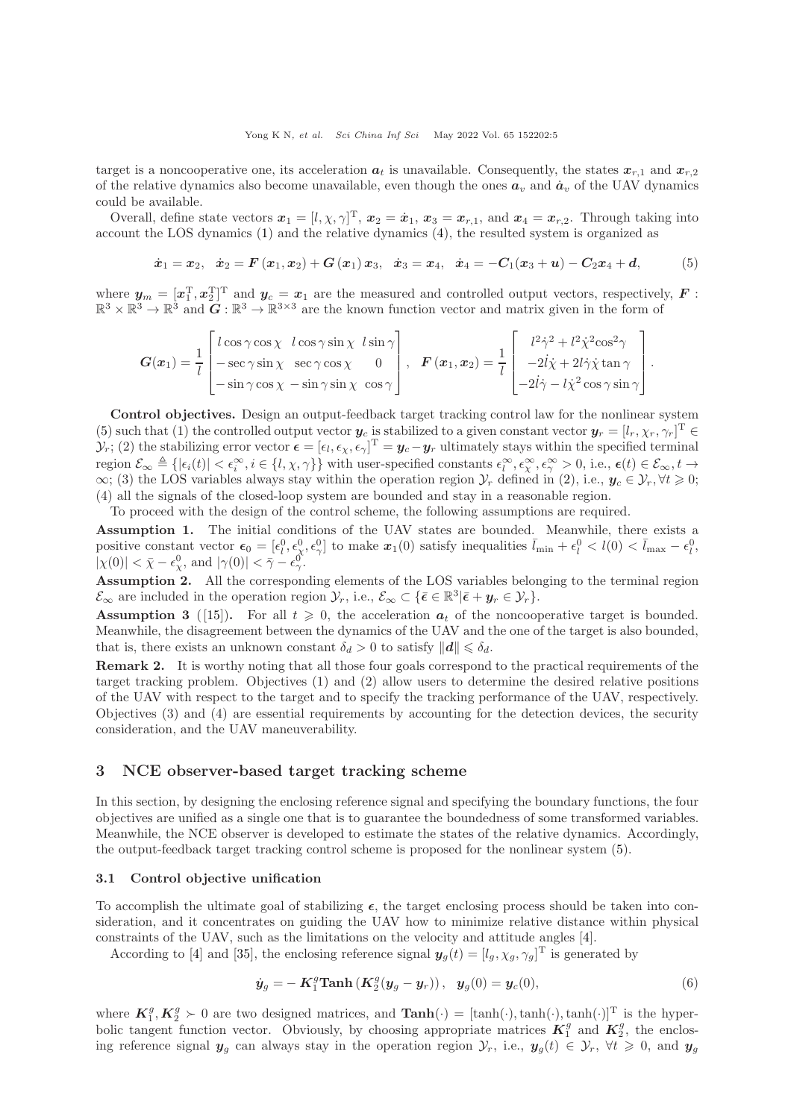target is a noncooperative one, its acceleration  $a_t$  is unavailable. Consequently, the states  $x_{r,1}$  and  $x_{r,2}$ of the relative dynamics also become unavailable, even though the ones  $a_v$  and  $\dot{a}_v$  of the UAV dynamics could be available.

Overall, define state vectors  $x_1 = [l, \chi, \gamma]^T$ ,  $x_2 = \dot{x}_1$ ,  $x_3 = x_{r,1}$ , and  $x_4 = x_{r,2}$ . Through taking into account the LOS dynamics [\(1\)](#page-2-2) and the relative dynamics [\(4\)](#page-3-1), the resulted system is organized as

<span id="page-4-1"></span>
$$
\dot{x}_1 = x_2, \quad \dot{x}_2 = F(x_1, x_2) + G(x_1) \, x_3, \quad \dot{x}_3 = x_4, \quad \dot{x}_4 = -C_1(x_3 + u) - C_2 x_4 + d,\tag{5}
$$

where  $y_m = [x_1^{\mathrm{T}}, x_2^{\mathrm{T}}]^{\mathrm{T}}$  and  $y_c = x_1$  are the measured and controlled output vectors, respectively,  $F$ :  $\mathbb{R}^3 \times \mathbb{R}^3 \to \mathbb{R}^3$  and  $\tilde{G}: \mathbb{R}^3 \to \mathbb{R}^{3 \times 3}$  are the known function vector and matrix given in the form of

$$
G(x_1) = \frac{1}{l} \begin{bmatrix} l \cos \gamma \cos \chi & l \cos \gamma \sin \chi & l \sin \gamma \\ -\sec \gamma \sin \chi & \sec \gamma \cos \chi & 0 \\ -\sin \gamma \cos \chi & -\sin \gamma \sin \chi & \cos \gamma \end{bmatrix}, \quad \boldsymbol{F}(\boldsymbol{x}_1, \boldsymbol{x}_2) = \frac{1}{l} \begin{bmatrix} l^2 \dot{\gamma}^2 + l^2 \dot{\chi}^2 \cos^2 \gamma \\ -2 \dot{l} \dot{\chi} + 2 l \dot{\gamma} \dot{\chi} \tan \gamma \\ -2 \dot{l} \dot{\gamma} - l \dot{\chi}^2 \cos \gamma \sin \gamma \end{bmatrix}.
$$

Control objectives. Design an output-feedback target tracking control law for the nonlinear system [\(5\)](#page-4-1) such that (1) the controlled output vector  $y_c$  is stabilized to a given constant vector  $y_r = [l_r, \chi_r, \gamma_r]^T \in$  $\mathcal{Y}_r$ ; (2) the stabilizing error vector  $\boldsymbol{\epsilon} = [\epsilon_l, \epsilon_\chi, \epsilon_\gamma]^T = \boldsymbol{y}_c - \boldsymbol{y}_r$  ultimately stays within the specified terminal region  $\mathcal{E}_{\infty} \triangleq \{|\epsilon_i(t)| < \epsilon_i^{\infty}, i \in \{l, \chi, \gamma\}\}\$  with user-specified constants  $\epsilon_l^{\infty}, \epsilon_{\chi}^{\infty}, \epsilon_{\gamma}^{\infty} > 0$ , i.e.,  $\epsilon(t) \in \mathcal{E}_{\infty}, t \to \infty\}$  $\infty$ ; (3) the LOS variables always stay within the operation region  $\mathcal{Y}_r$  defined in [\(2\)](#page-3-2), i.e.,  $y_c \in \mathcal{Y}_r$ ,  $\forall t \geq 0$ ; (4) all the signals of the closed-loop system are bounded and stay in a reasonable region.

To proceed with the design of the control scheme, the following assumptions are required.

<span id="page-4-2"></span>Assumption 1. The initial conditions of the UAV states are bounded. Meanwhile, there exists a positive constant vector  $\epsilon_0 = [\epsilon_l^0, \epsilon_\chi^0, \epsilon_\gamma^0]$  to make  $x_1(0)$  satisfy inequalities  $\bar{l}_{\min} + \epsilon_l^0 < l(0) < \bar{l}_{\max} - \epsilon_l^0$ ,  $|\chi(0)| < \bar{\chi} - \epsilon_{\chi}^0$ , and  $|\gamma(0)| < \bar{\gamma} - \epsilon_{\gamma}^0$ .

<span id="page-4-3"></span>Assumption 2. All the corresponding elements of the LOS variables belonging to the terminal region  $\mathcal{E}_{\infty}$  are included in the operation region  $\mathcal{Y}_r$ , i.e.,  $\mathcal{E}_{\infty} \subset {\bar{\epsilon}} \in \mathbb{R}^3 | {\bar{\epsilon}} + y_r \in \mathcal{Y}_r$ .

<span id="page-4-4"></span>**Assumption 3** ([\[15\]](#page-13-17)). For all  $t \ge 0$ , the acceleration  $a_t$  of the noncooperative target is bounded. Meanwhile, the disagreement between the dynamics of the UAV and the one of the target is also bounded, that is, there exists an unknown constant  $\delta_d > 0$  to satisfy  $||\boldsymbol{d}|| \leq \delta_d$ .

Remark 2. It is worthy noting that all those four goals correspond to the practical requirements of the target tracking problem. Objectives (1) and (2) allow users to determine the desired relative positions of the UAV with respect to the target and to specify the tracking performance of the UAV, respectively. Objectives (3) and (4) are essential requirements by accounting for the detection devices, the security consideration, and the UAV maneuverability.

# <span id="page-4-0"></span>3 NCE observer-based target tracking scheme

In this section, by designing the enclosing reference signal and specifying the boundary functions, the four objectives are unified as a single one that is to guarantee the boundedness of some transformed variables. Meanwhile, the NCE observer is developed to estimate the states of the relative dynamics. Accordingly, the output-feedback target tracking control scheme is proposed for the nonlinear system [\(5\)](#page-4-1).

## <span id="page-4-6"></span>3.1 Control objective unification

To accomplish the ultimate goal of stabilizing  $\epsilon$ , the target enclosing process should be taken into consideration, and it concentrates on guiding the UAV how to minimize relative distance within physical constraints of the UAV, such as the limitations on the velocity and attitude angles [\[4\]](#page-13-18).

According to [\[4\]](#page-13-18) and [\[35\]](#page-14-13), the enclosing reference signal  $y_g(t) = [l_g, \chi_g, \gamma_g]^T$  is generated by

<span id="page-4-5"></span>
$$
\dot{y}_g = -K_1^g \text{Tanh}\left(K_2^g (y_g - y_r)\right), \ \ y_g(0) = y_c(0), \tag{6}
$$

where  $\mathbf{K}_1^g, \mathbf{K}_2^g \succ 0$  are two designed matrices, and  $\text{Tanh}(\cdot) = [\tanh(\cdot), \tanh(\cdot), \tanh(\cdot)]^T$  is the hyperbolic tangent function vector. Obviously, by choosing appropriate matrices  $\mathbf{K}_1^g$  and  $\mathbf{K}_2^g$ , the enclosing reference signal  $y_g$  can always stay in the operation region  $\mathcal{Y}_r$ , i.e.,  $y_g(t) \in \mathcal{Y}_r$ ,  $\forall t \geq 0$ , and  $y_g$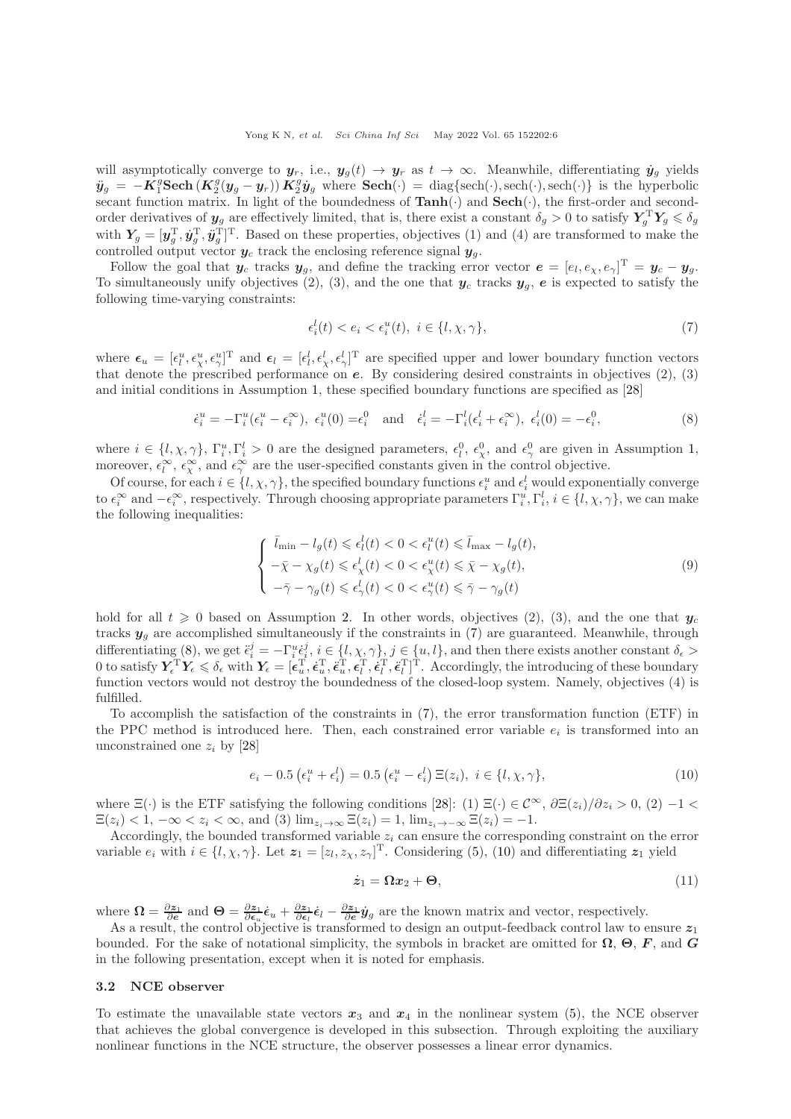will asymptotically converge to  $y_r$ , i.e.,  $y_g(t) \to y_r$  as  $t \to \infty$ . Meanwhile, differentiating  $\dot{y}_g$  yields  $\ddot{y}_g = -K_1^g \textbf{Sech} (K_2^g (y_g - y_r)) K_2^g \dot{y}_g$  where  $\textbf{Sech}(\cdot) = \text{diag}\{\text{sech}(\cdot), \text{sech}(\cdot)\}\$ is the hyperbolic secant function matrix. In light of the boundedness of  $\text{Tanh}(\cdot)$  and  $\text{Sech}(\cdot)$ , the first-order and secondorder derivatives of  $y_g$  are effectively limited, that is, there exist a constant  $\delta_g > 0$  to satisfy  $Y_g^{\mathrm{T}} Y_g \leqslant \delta_g$ with  $Y_g = [\mathbf{y}_g^T, \dot{\mathbf{y}}_g^T, \ddot{\mathbf{y}}_g^T]^T$ . Based on these properties, objectives (1) and (4) are transformed to make the controlled output vector  $y_c$  track the enclosing reference signal  $y_g$ .

Follow the goal that  $y_c$  tracks  $y_g$ , and define the tracking error vector  $e = [e_l, e_\chi, e_\gamma]^T = y_c - y_g$ . To simultaneously unify objectives (2), (3), and the one that  $y_c$  tracks  $y_q$ , e is expected to satisfy the following time-varying constraints:

<span id="page-5-1"></span><span id="page-5-0"></span>
$$
\epsilon_i^l(t) < e_i < \epsilon_i^u(t), \ i \in \{l, \chi, \gamma\},\tag{7}
$$

where  $\epsilon_u = [\epsilon_l^u, \epsilon_\chi^u, \epsilon_\gamma^u]^T$  and  $\epsilon_l = [\epsilon_l^l, \epsilon_\chi^l, \epsilon_\gamma^l]^T$  are specified upper and lower boundary function vectors that denote the prescribed performance on e. By considering desired constraints in objectives (2), (3) and initial conditions in Assumption [1,](#page-4-2) these specified boundary functions are specified as [\[28\]](#page-14-7)

$$
\dot{\epsilon}_i^u = -\Gamma_i^u(\epsilon_i^u - \epsilon_i^{\infty}), \ \epsilon_i^u(0) = \epsilon_i^0 \quad \text{and} \quad \dot{\epsilon}_i^l = -\Gamma_i^l(\epsilon_i^l + \epsilon_i^{\infty}), \ \epsilon_i^l(0) = -\epsilon_i^0,
$$
\n
$$
\tag{8}
$$

where  $i \in \{l, \chi, \gamma\}, \Gamma_i^u, \Gamma_i^l > 0$  are the designed parameters,  $\epsilon_l^0$ ,  $\epsilon_\chi^0$ , and  $\epsilon_\gamma^0$  are given in Assumption [1,](#page-4-2) moreover,  $\epsilon_l^{\infty}$ ,  $\epsilon_{\chi}^{\infty}$ , and  $\epsilon_{\gamma}^{\infty}$  are the user-specified constants given in the control objective.

Of course, for each  $i \in \{l, \chi, \gamma\}$ , the specified boundary functions  $\epsilon_i^u$  and  $\epsilon_i^l$  would exponentially converge to  $\epsilon_i^{\infty}$  and  $-\epsilon_i^{\infty}$ , respectively. Through choosing appropriate parameters  $\Gamma_i^u, \Gamma_i^l, i \in \{l, \chi, \gamma\}$ , we can make the following inequalities:

<span id="page-5-4"></span>
$$
\begin{cases} \bar{l}_{\min} - l_g(t) \leq \epsilon_l^l(t) < 0 < \epsilon_l^u(t) \leq \bar{l}_{\max} - l_g(t), \\ -\bar{\chi} - \chi_g(t) \leq \epsilon_\chi^l(t) < 0 < \epsilon_\chi^u(t) \leq \bar{\chi} - \chi_g(t), \\ -\bar{\gamma} - \gamma_g(t) \leq \epsilon_\gamma^l(t) < 0 < \epsilon_\gamma^u(t) \leq \bar{\gamma} - \gamma_g(t) \end{cases} \tag{9}
$$

hold for all  $t \geq 0$  based on Assumption [2.](#page-4-3) In other words, objectives (2), (3), and the one that  $y_c$ tracks  $y_g$  are accomplished simultaneously if the constraints in [\(7\)](#page-5-0) are guaranteed. Meanwhile, through differentiating [\(8\)](#page-5-1), we get  $\ddot{\epsilon}_i^j = -\Gamma_i^u \dot{\epsilon}_i^j$ ,  $i \in \{l, \chi, \gamma\}$ ,  $j \in \{u, l\}$ , and then there exists another constant  $\delta_{\epsilon} >$ 0 to satisfy  $Y_{\epsilon}^{\mathrm{T}} Y_{\epsilon} \leq \delta_{\epsilon}$  with  $Y_{\epsilon} = [\epsilon_u^{\mathrm{T}}, \dot{\epsilon}_u^{\mathrm{T}}, \dot{\epsilon}_u^{\mathrm{T}}, \dot{\epsilon}_l^{\mathrm{T}}, \dot{\epsilon}_l^{\mathrm{T}}]$ <sup>T</sup>. Accordingly, the introducing of these boundary function vectors would not destroy the boundedness of the closed-loop system. Namely, objectives (4) is fulfilled.

To accomplish the satisfaction of the constraints in [\(7\)](#page-5-0), the error transformation function (ETF) in the PPC method is introduced here. Then, each constrained error variable  $e_i$  is transformed into an unconstrained one  $z_i$  by [\[28\]](#page-14-7)

$$
e_i - 0.5\left(\epsilon_i^u + \epsilon_i^l\right) = 0.5\left(\epsilon_i^u - \epsilon_i^l\right)\Xi(z_i), \ i \in \{l, \chi, \gamma\},\tag{10}
$$

where  $\Xi(\cdot)$  is the ETF satisfying the following conditions [\[28\]](#page-14-7): (1)  $\Xi(\cdot) \in \mathcal{C}^{\infty}$ ,  $\partial \Xi(z_i)/\partial z_i > 0$ , (2)  $-1 <$  $\Xi(z_i) < 1, -\infty < z_i < \infty$ , and (3)  $\lim_{z_i \to \infty} \Xi(z_i) = 1$ ,  $\lim_{z_i \to -\infty} \Xi(z_i) = -1$ .

Accordingly, the bounded transformed variable  $z_i$  can ensure the corresponding constraint on the error variable  $e_i$  with  $i \in \{l, \chi, \gamma\}$ . Let  $\boldsymbol{z}_1 = [z_l, z_{\chi}, z_{\gamma}]^{\mathrm{T}}$ . Considering [\(5\)](#page-4-1), [\(10\)](#page-5-2) and differentiating  $\boldsymbol{z}_1$  yield

<span id="page-5-3"></span><span id="page-5-2"></span>
$$
\dot{\mathbf{z}}_1 = \Omega \mathbf{x}_2 + \mathbf{\Theta},\tag{11}
$$

where  $\Omega = \frac{\partial z_1}{\partial e}$  and  $\Theta = \frac{\partial z_1}{\partial e_u} \dot{\epsilon}_u + \frac{\partial z_1}{\partial e_l} \dot{\epsilon}_l - \frac{\partial z_1}{\partial e_v} \dot{y}_g$  are the known matrix and vector, respectively.

As a result, the control objective is transformed to design an output-feedback control law to ensure  $z_1$ bounded. For the sake of notational simplicity, the symbols in bracket are omitted for  $\Omega$ ,  $\Theta$ ,  $F$ , and  $G$ in the following presentation, except when it is noted for emphasis.

#### 3.2 NCE observer

To estimate the unavailable state vectors  $x_3$  and  $x_4$  in the nonlinear system [\(5\)](#page-4-1), the NCE observer that achieves the global convergence is developed in this subsection. Through exploiting the auxiliary nonlinear functions in the NCE structure, the observer possesses a linear error dynamics.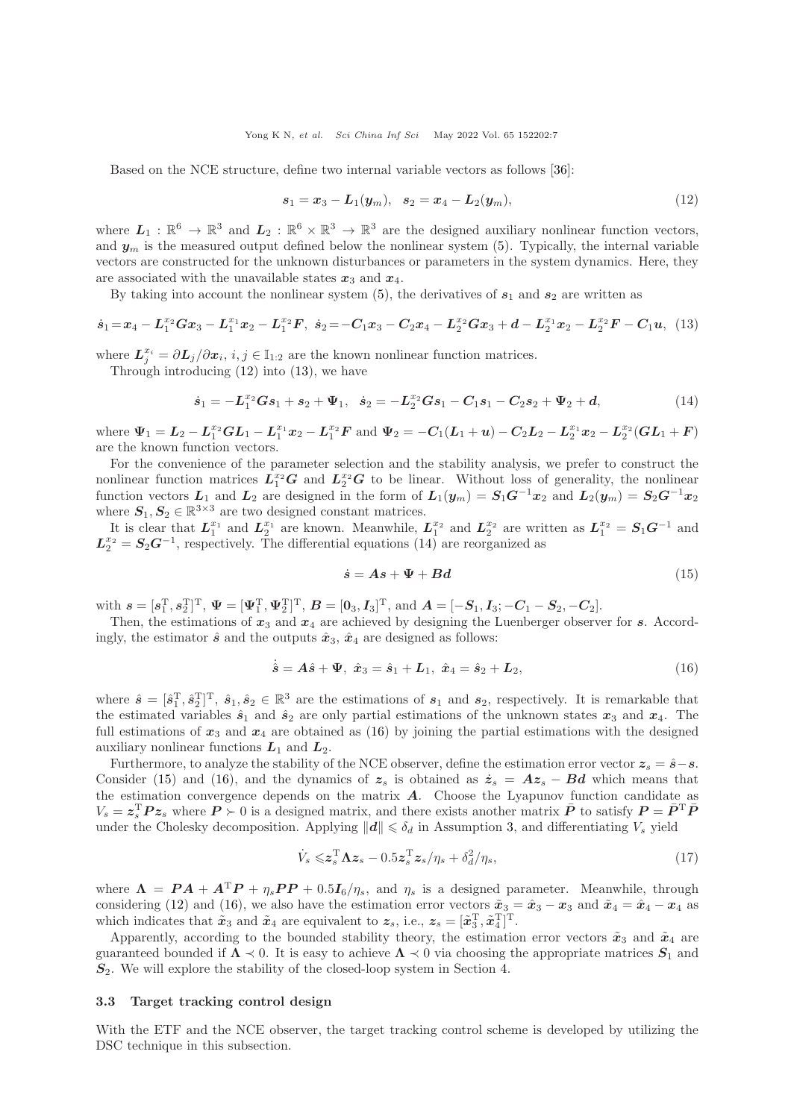Based on the NCE structure, define two internal variable vectors as follows [\[36\]](#page-14-14):

<span id="page-6-1"></span><span id="page-6-0"></span>
$$
s_1 = x_3 - L_1(y_m), \quad s_2 = x_4 - L_2(y_m), \tag{12}
$$

where  $L_1 : \mathbb{R}^6 \to \mathbb{R}^3$  and  $L_2 : \mathbb{R}^6 \times \mathbb{R}^3 \to \mathbb{R}^3$  are the designed auxiliary nonlinear function vectors, and  $y_m$  is the measured output defined below the nonlinear system [\(5\)](#page-4-1). Typically, the internal variable vectors are constructed for the unknown disturbances or parameters in the system dynamics. Here, they are associated with the unavailable states  $x_3$  and  $x_4$ .

By taking into account the nonlinear system [\(5\)](#page-4-1), the derivatives of  $s_1$  and  $s_2$  are written as

$$
\dot{s}_1 = x_4 - L_1^{x_2} G x_3 - L_1^{x_1} x_2 - L_1^{x_2} F, \ \dot{s}_2 = -C_1 x_3 - C_2 x_4 - L_2^{x_2} G x_3 + d - L_2^{x_1} x_2 - L_2^{x_2} F - C_1 u, \ \ (13)
$$

where  $\mathbf{L}_j^{x_i} = \partial \mathbf{L}_j / \partial x_i, i, j \in \mathbb{I}_{1:2}$  are the known nonlinear function matrices.

Through introducing [\(12\)](#page-6-0) into [\(13\)](#page-6-1), we have

$$
\dot{s}_1 = -L_1^{x_2} G s_1 + s_2 + \Psi_1, \quad \dot{s}_2 = -L_2^{x_2} G s_1 - C_1 s_1 - C_2 s_2 + \Psi_2 + d,\tag{14}
$$

where  $\Psi_1 = L_2 - L_1^{x_2}GL_1 - L_1^{x_1}x_2 - L_1^{x_2}F$  and  $\Psi_2 = -C_1(L_1 + u) - C_2L_2 - L_2^{x_1}x_2 - L_2^{x_2}(GL_1 + F)$ are the known function vectors.

For the convenience of the parameter selection and the stability analysis, we prefer to construct the nonlinear function matrices  $L_1^{x_2}G$  and  $L_2^{x_2}G$  to be linear. Without loss of generality, the nonlinear function vectors  $L_1$  and  $L_2$  are designed in the form of  $L_1(y_m) = S_1G^{-1}x_2$  and  $L_2(y_m) = S_2G^{-1}x_2$ where  $S_1, S_2 \in \mathbb{R}^{3 \times 3}$  are two designed constant matrices.

It is clear that  $L_1^{x_1}$  and  $L_2^{x_1}$  are known. Meanwhile,  $L_1^{x_2}$  and  $L_2^{x_2}$  are written as  $L_1^{x_2} = S_1 G^{-1}$  and  $L_2^{x_2} = S_2 G^{-1}$ , respectively. The differential equations [\(14\)](#page-6-2) are reorganized as

<span id="page-6-4"></span><span id="page-6-3"></span><span id="page-6-2"></span>
$$
\dot{s} = As + \Psi + Bd \tag{15}
$$

with  $s = [s_1^{\mathrm{T}}, s_2^{\mathrm{T}}]^{\mathrm{T}}, \ \Psi = [\Psi_1^{\mathrm{T}}, \Psi_2^{\mathrm{T}}]^{\mathrm{T}}, \ B = [0_3, I_3]^{\mathrm{T}}, \ \text{and} \ A = [-S_1, I_3; -C_1 - S_2, -C_2].$ 

Then, the estimations of  $x_3$  and  $x_4$  are achieved by designing the Luenberger observer for s. Accordingly, the estimator  $\hat{s}$  and the outputs  $\hat{x}_3$ ,  $\hat{x}_4$  are designed as follows:

$$
\dot{\hat{s}} = A\hat{s} + \Psi, \ \hat{x}_3 = \hat{s}_1 + L_1, \ \hat{x}_4 = \hat{s}_2 + L_2, \tag{16}
$$

where  $\hat{s} = [\hat{s}_1^T, \hat{s}_2^T]^T$ ,  $\hat{s}_1, \hat{s}_2 \in \mathbb{R}^3$  are the estimations of  $s_1$  and  $s_2$ , respectively. It is remarkable that the estimated variables  $\hat{s}_1$  and  $\hat{s}_2$  are only partial estimations of the unknown states  $x_3$  and  $x_4$ . The full estimations of  $x_3$  and  $x_4$  are obtained as [\(16\)](#page-6-3) by joining the partial estimations with the designed auxiliary nonlinear functions  $L_1$  and  $L_2$ .

Furthermore, to analyze the stability of the NCE observer, define the estimation error vector  $z_s = \hat{s} - s$ . Consider [\(15\)](#page-6-4) and [\(16\)](#page-6-3), and the dynamics of  $z_s$  is obtained as  $\dot{z}_s = Az_s - Bd$  which means that the estimation convergence depends on the matrix  $A$ . Choose the Lyapunov function candidate as  $V_s = z_s^{\rm T} P z_s$  where  $P \succ 0$  is a designed matrix, and there exists another matrix  $\bar{P}$  to satisfy  $P = \bar{P}^{\rm T} \bar{P}$ under the Cholesky decomposition. Applying  $||d|| \leq \delta_d$  in Assumption [3,](#page-4-4) and differentiating  $V_s$  yield

<span id="page-6-5"></span>
$$
\dot{V}_s \leqslant z_s^{\mathrm{T}} \Lambda z_s - 0.5 z_s^{\mathrm{T}} z_s / \eta_s + \delta_d^2 / \eta_s, \qquad (17)
$$

where  $\Lambda = PA + A^{T}P + \eta_{s}PP + 0.5I_{6}/\eta_{s}$ , and  $\eta_{s}$  is a designed parameter. Meanwhile, through considering [\(12\)](#page-6-0) and [\(16\)](#page-6-3), we also have the estimation error vectors  $\tilde{x}_3 = \hat{x}_3 - x_3$  and  $\tilde{x}_4 = \hat{x}_4 - x_4$  as which indicates that  $\tilde{x}_3$  and  $\tilde{x}_4$  are equivalent to  $z_s$ , i.e.,  $z_s = [\tilde{x}_3^T, \tilde{x}_4^T]^T$ .

Apparently, according to the bounded stability theory, the estimation error vectors  $\tilde{x}_3$  and  $\tilde{x}_4$  are guaranteed bounded if  $\Lambda \prec 0$ . It is easy to achieve  $\Lambda \prec 0$  via choosing the appropriate matrices  $S_1$  and  $S<sub>2</sub>$ . We will explore the stability of the closed-loop system in Section [4.](#page-7-0)

#### 3.3 Target tracking control design

With the ETF and the NCE observer, the target tracking control scheme is developed by utilizing the DSC technique in this subsection.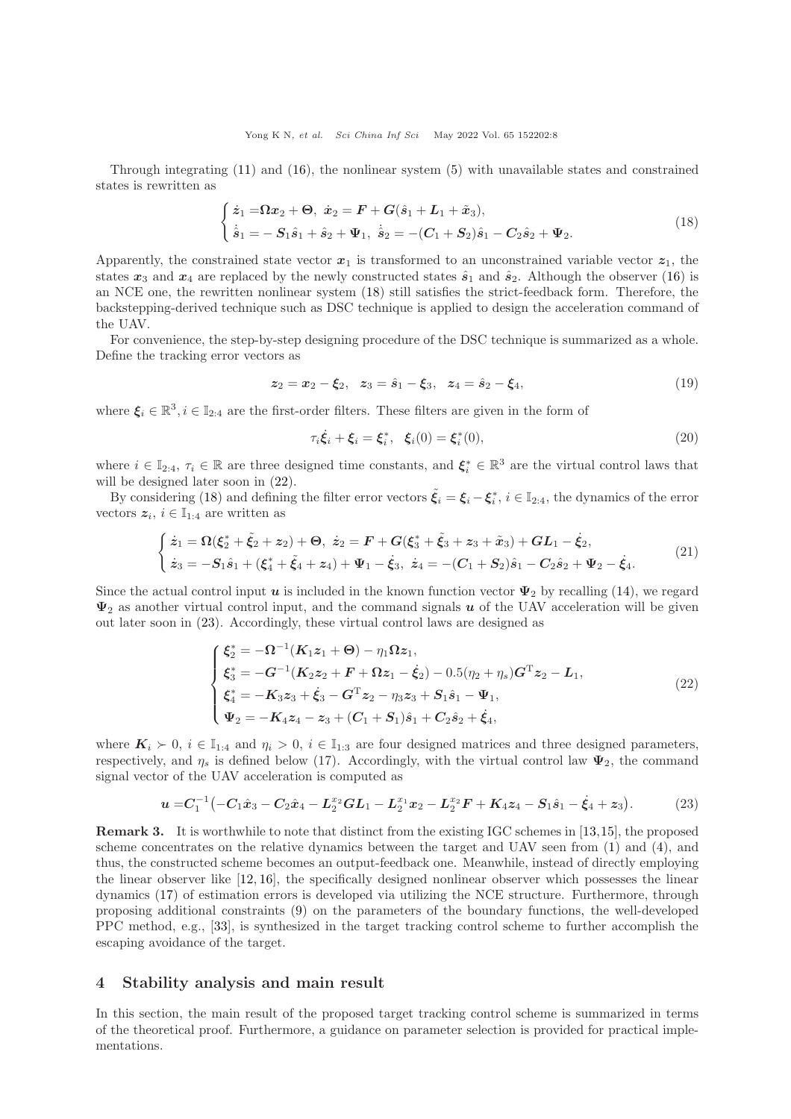Through integrating [\(11\)](#page-5-3) and [\(16\)](#page-6-3), the nonlinear system [\(5\)](#page-4-1) with unavailable states and constrained states is rewritten as

$$
\begin{cases} \n\dot{z}_1 = \Omega x_2 + \Theta, & \dot{x}_2 = F + G(\hat{s}_1 + L_1 + \tilde{x}_3), \\ \n\dot{\hat{s}}_1 = -S_1 \hat{s}_1 + \hat{s}_2 + \Psi_1, & \dot{\hat{s}}_2 = -(C_1 + S_2)\hat{s}_1 - C_2 \hat{s}_2 + \Psi_2. \n\end{cases} \tag{18}
$$

Apparently, the constrained state vector  $x_1$  is transformed to an unconstrained variable vector  $z_1$ , the states  $x_3$  and  $x_4$  are replaced by the newly constructed states  $\hat{s}_1$  and  $\hat{s}_2$ . Although the observer [\(16\)](#page-6-3) is an NCE one, the rewritten nonlinear system [\(18\)](#page-7-1) still satisfies the strict-feedback form. Therefore, the backstepping-derived technique such as DSC technique is applied to design the acceleration command of the UAV.

For convenience, the step-by-step designing procedure of the DSC technique is summarized as a whole. Define the tracking error vectors as

$$
z_2 = x_2 - \xi_2, \quad z_3 = \hat{s}_1 - \xi_3, \quad z_4 = \hat{s}_2 - \xi_4,\tag{19}
$$

where  $\xi_i \in \mathbb{R}^3, i \in \mathbb{I}_{2:4}$  are the first-order filters. These filters are given in the form of

<span id="page-7-6"></span><span id="page-7-5"></span><span id="page-7-4"></span><span id="page-7-2"></span><span id="page-7-1"></span>
$$
\tau_i \dot{\xi}_i + \xi_i = \xi_i^*, \quad \xi_i(0) = \xi_i^*(0), \tag{20}
$$

where  $i \in \mathbb{I}_{2:4}$ ,  $\tau_i \in \mathbb{R}$  are three designed time constants, and  $\xi_i^* \in \mathbb{R}^3$  are the virtual control laws that will be designed later soon in  $(22)$ .

By considering [\(18\)](#page-7-1) and defining the filter error vectors  $\tilde{\xi}_i = \xi_i - \xi_i^*$ ,  $i \in \mathbb{I}_{2:4}$ , the dynamics of the error vectors  $z_i, i \in \mathbb{I}_{1:4}$  are written as

$$
\begin{cases}\n\dot{z}_1 = \Omega(\xi_2^* + \tilde{\xi}_2 + z_2) + \Theta, \ \dot{z}_2 = F + G(\xi_3^* + \tilde{\xi}_3 + z_3 + \tilde{x}_3) + GL_1 - \dot{\xi}_2, \\
\dot{z}_3 = -S_1 \hat{s}_1 + (\xi_4^* + \tilde{\xi}_4 + z_4) + \Psi_1 - \dot{\xi}_3, \ \dot{z}_4 = -(C_1 + S_2)\hat{s}_1 - C_2 \hat{s}_2 + \Psi_2 - \dot{\xi}_4.\n\end{cases}
$$
\n(21)

Since the actual control input u is included in the known function vector  $\Psi_2$  by recalling [\(14\)](#page-6-2), we regard  $\Psi_2$  as another virtual control input, and the command signals u of the UAV acceleration will be given out later soon in [\(23\)](#page-7-3). Accordingly, these virtual control laws are designed as

<span id="page-7-3"></span>
$$
\begin{cases}\n\xi_2^* = -\Omega^{-1}(K_1 z_1 + \Theta) - \eta_1 \Omega z_1, \\
\xi_3^* = -G^{-1}(K_2 z_2 + F + \Omega z_1 - \dot{\xi}_2) - 0.5(\eta_2 + \eta_s)G^T z_2 - L_1, \\
\xi_4^* = -K_3 z_3 + \dot{\xi}_3 - G^T z_2 - \eta_3 z_3 + S_1 \dot{s}_1 - \Psi_1, \\
\Psi_2 = -K_4 z_4 - z_3 + (C_1 + S_1)\dot{s}_1 + C_2 \dot{s}_2 + \dot{\xi}_4,\n\end{cases}
$$
\n(22)

where  $\mathbf{K}_i \succ 0$ ,  $i \in \mathbb{I}_{1:4}$  and  $\eta_i > 0$ ,  $i \in \mathbb{I}_{1:3}$  are four designed matrices and three designed parameters, respectively, and  $\eta_s$  is defined below (17). Accordingly, with the virtual control law  $\Psi_2$ , the command signal vector of the UAV acceleration is computed as

$$
u = C_1^{-1} \left( -C_1 \hat{x}_3 - C_2 \hat{x}_4 - L_2^{x_2} GL_1 - L_2^{x_1} x_2 - L_2^{x_2} F + K_4 z_4 - S_1 \hat{s}_1 - \hat{\xi}_4 + z_3 \right).
$$
 (23)

Remark 3. It is worthwhile to note that distinct from the existing IGC schemes in [\[13,](#page-13-11)[15\]](#page-13-17), the proposed scheme concentrates on the relative dynamics between the target and UAV seen from [\(1\)](#page-2-2) and [\(4\)](#page-3-1), and thus, the constructed scheme becomes an output-feedback one. Meanwhile, instead of directly employing the linear observer like [\[12,](#page-13-10) [16\]](#page-13-12), the specifically designed nonlinear observer which possesses the linear dynamics [\(17\)](#page-6-5) of estimation errors is developed via utilizing the NCE structure. Furthermore, through proposing additional constraints [\(9\)](#page-5-4) on the parameters of the boundary functions, the well-developed PPC method, e.g., [\[33\]](#page-14-11), is synthesized in the target tracking control scheme to further accomplish the escaping avoidance of the target.

### <span id="page-7-0"></span>4 Stability analysis and main result

In this section, the main result of the proposed target tracking control scheme is summarized in terms of the theoretical proof. Furthermore, a guidance on parameter selection is provided for practical implementations.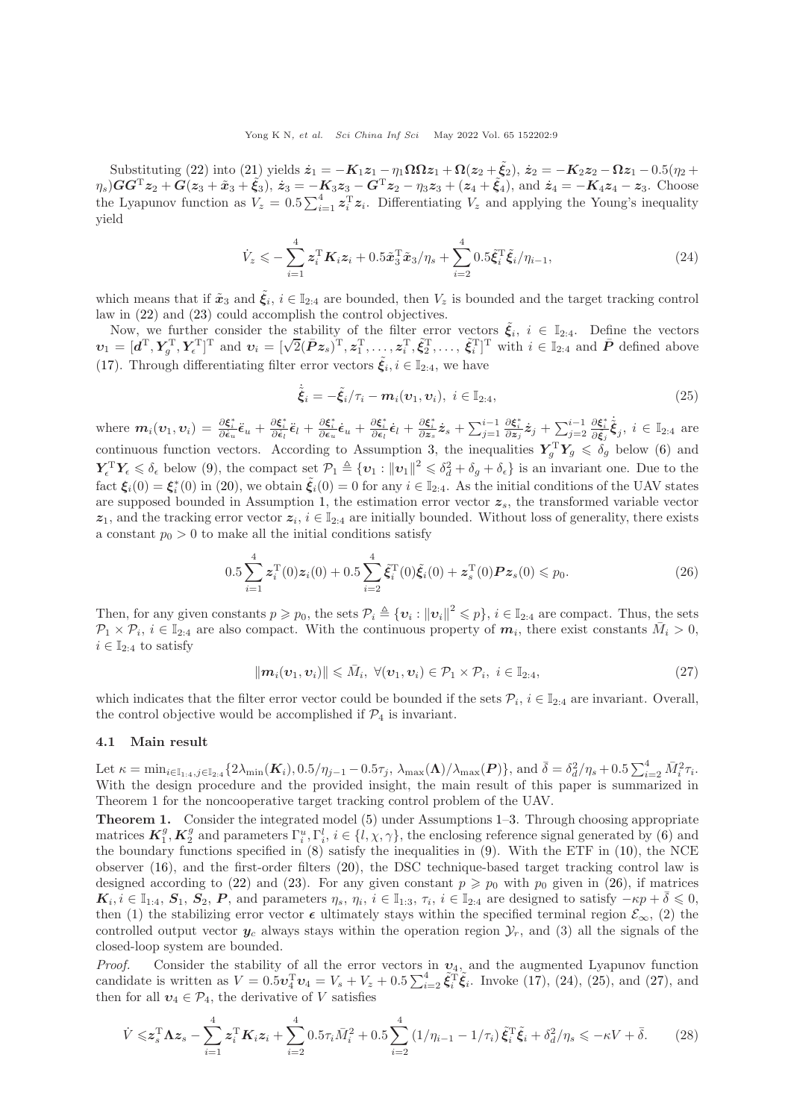Substituting [\(22\)](#page-7-2) into [\(21\)](#page-7-4) yields  $\dot{z}_1 = -K_1z_1 - \eta_1\Omega\Omega z_1 + \Omega(z_2 + \tilde{\xi}_2), \, \dot{z}_2 = -K_2z_2 - \Omega z_1 - 0.5(\eta_2 + \tilde{\xi}_2)$  $(\eta_s)GG^Tz_2 + G(z_3 + \tilde{x}_3 + \tilde{\xi}_3), \ \dot{z}_3 = -K_3z_3 - G^Tz_2 - \eta_3z_3 + (z_4 + \tilde{\xi}_4), \text{ and } \dot{z}_4 = -K_4z_4 - z_3.$  Choose the Lyapunov function as  $V_z = 0.5 \sum_{i=1}^4 z_i^T z_i$ . Differentiating  $V_z$  and applying the Young's inequality yield

$$
\dot{V}_z \leqslant -\sum_{i=1}^4 z_i^{\mathrm{T}} K_i z_i + 0.5 \tilde{x}_3^{\mathrm{T}} \tilde{x}_3 / \eta_s + \sum_{i=2}^4 0.5 \tilde{\xi}_i^{\mathrm{T}} \tilde{\xi}_i / \eta_{i-1}, \tag{24}
$$

which means that if  $\tilde{x}_3$  and  $\tilde{\xi}_i$ ,  $i \in \mathbb{I}_{2:4}$  are bounded, then  $V_z$  is bounded and the target tracking control law in [\(22\)](#page-7-2) and [\(23\)](#page-7-3) could accomplish the control objectives.

Now, we further consider the stability of the filter error vectors  $\tilde{\xi}_i$ ,  $i \in \mathbb{I}_{2:4}$ . Define the vectors  $v_1 = [d^{\mathrm{T}}, Y_g^{\mathrm{T}}, Y_{\epsilon}^{\mathrm{T}}]^{\mathrm{T}}$  and  $v_i = [\sqrt{2}(\bar{P}z_s)^{\mathrm{T}}, z_1^{\mathrm{T}}, \ldots, z_i^{\mathrm{T}}, \tilde{\xi}_2^{\mathrm{T}}, \ldots, \tilde{\xi}_i^{\mathrm{T}}]^{\mathrm{T}}$  with  $i \in \mathbb{I}_{2:4}$  and  $\bar{P}$  defined above [\(17\)](#page-6-5). Through differentiating filter error vectors  $\tilde{\xi}_i, i \in \mathbb{I}_{2:4}$ , we have

<span id="page-8-2"></span><span id="page-8-1"></span><span id="page-8-0"></span>
$$
\dot{\tilde{\xi}}_i = -\tilde{\xi}_i/\tau_i - m_i(\boldsymbol{v}_1, \boldsymbol{v}_i), \ i \in \mathbb{I}_{2:4}, \tag{25}
$$

where  $m_i(\boldsymbol{v}_1, \boldsymbol{v}_i) = \frac{\partial \boldsymbol{\xi}_i^*}{\partial \boldsymbol{\epsilon}_u} \tilde{\boldsymbol{\epsilon}}_u + \frac{\partial \boldsymbol{\xi}_i^*}{\partial \boldsymbol{\epsilon}_l} \tilde{\boldsymbol{\epsilon}}_l + \frac{\partial \boldsymbol{\xi}_i^*}{\partial \boldsymbol{\epsilon}_u} \tilde{\boldsymbol{\epsilon}}_u + \frac{\partial \boldsymbol{\xi}_i^*}{\partial \boldsymbol{\epsilon}_l} \tilde{\boldsymbol{\epsilon}}_l + \frac{\partial \boldsymbol{\xi}_i^*}{\partial \boldsymbol{z}_s} \dot{\boldsymbol{z}}_s + \sum_{j=1}^{i-1}$  $\frac{\partial \boldsymbol{\xi}^*_i}{\partial \boldsymbol{z}_j} \dot{\boldsymbol{z}}_j + \sum_{j=2}^{i-1}$  $\frac{\partial \boldsymbol{\xi}_{i}^*}{\partial \tilde{\boldsymbol{\xi}}_j} \dot{\tilde{\boldsymbol{\xi}}}_j, \ i \in \mathbb{I}_{2:4} \text{ are}$ continuous function vectors. According to Assumption [3,](#page-4-4) the inequalities  $Y_g^{\mathrm{T}} Y_g \leq \delta_g$  below [\(6\)](#page-4-5) and  $\boldsymbol{Y}_{\epsilon}^{\mathrm{T}} \boldsymbol{Y}_{\epsilon} \leq \delta_{\epsilon}$  below [\(9\)](#page-5-4), the compact set  $\mathcal{P}_{1} \triangleq \{ \boldsymbol{v}_{1} : ||\boldsymbol{v}_{1}||^{2} \leq \delta_{d}^{2} + \delta_{g} + \delta_{\epsilon} \}$  is an invariant one. Due to the fact  $\xi_i(0) = \xi_i^*(0)$  in [\(20\)](#page-7-5), we obtain  $\tilde{\xi}_i(0) = 0$  for any  $i \in \mathbb{I}_{2,4}$ . As the initial conditions of the UAV states are supposed bounded in Assumption [1,](#page-4-2) the estimation error vector  $z_s$ , the transformed variable vector  $z_1$ , and the tracking error vector  $z_i$ ,  $i \in \mathbb{I}_{2:4}$  are initially bounded. Without loss of generality, there exists a constant  $p_0 > 0$  to make all the initial conditions satisfy

$$
0.5\sum_{i=1}^{4} z_i^{\mathrm{T}}(0)z_i(0) + 0.5\sum_{i=2}^{4} \tilde{\xi}_i^{\mathrm{T}}(0)\tilde{\xi}_i(0) + z_s^{\mathrm{T}}(0)Pz_s(0) \le p_0.
$$
 (26)

Then, for any given constants  $p \geq p_0$ , the sets  $\mathcal{P}_i \triangleq \{ \mathbf{v}_i : ||\mathbf{v}_i||^2 \leqslant p \}$ ,  $i \in \mathbb{I}_{2:4}$  are compact. Thus, the sets  $\mathcal{P}_1 \times \mathcal{P}_i$ ,  $i \in \mathbb{I}_{2:4}$  are also compact. With the continuous property of  $m_i$ , there exist constants  $\bar{M}_i > 0$ ,  $i \in \mathbb{I}_{2:4}$  to satisfy

<span id="page-8-3"></span>
$$
\|\boldsymbol{m}_i(\boldsymbol{v}_1,\boldsymbol{v}_i)\| \leqslant \bar{M}_i, \ \forall (\boldsymbol{v}_1,\boldsymbol{v}_i) \in \mathcal{P}_1 \times \mathcal{P}_i, \ i \in \mathbb{I}_{2:4}, \tag{27}
$$

which indicates that the filter error vector could be bounded if the sets  $\mathcal{P}_i$ ,  $i \in \mathbb{I}_{2:4}$  are invariant. Overall, the control objective would be accomplished if  $\mathcal{P}_4$  is invariant.

#### 4.1 Main result

Let  $\kappa = \min_{i \in \mathbb{I}_{1:4}, j \in \mathbb{I}_{2:4}} \{2\lambda_{\min}(\mathbf{K}_i), 0.5/\eta_{j-1} - 0.5\tau_j, \lambda_{\max}(\mathbf{\Lambda})/\lambda_{\max}(\mathbf{P})\},\text{ and } \bar{\delta} = \delta_d^2/\eta_s + 0.5\sum_{i=2}^4 \bar{M}_i^2 \tau_i.$ With the design procedure and the provided insight, the main result of this paper is summarized in Theorem 1 for the noncooperative target tracking control problem of the UAV.

Theorem 1. Consider the integrated model [\(5\)](#page-4-1) under Assumptions [1–](#page-4-2)[3.](#page-4-4) Through choosing appropriate matrices  $\mathbf{K}_1^g$ ,  $\mathbf{K}_2^g$  and parameters  $\Gamma_i^u$ ,  $\Gamma_i^l$ ,  $i \in \{l, \chi, \gamma\}$ , the enclosing reference signal generated by [\(6\)](#page-4-5) and the boundary functions specified in [\(8\)](#page-5-1) satisfy the inequalities in [\(9\)](#page-5-4). With the ETF in [\(10\)](#page-5-2), the NCE observer [\(16\)](#page-6-3), and the first-order filters [\(20\)](#page-7-5), the DSC technique-based target tracking control law is designed according to [\(22\)](#page-7-2) and [\(23\)](#page-7-3). For any given constant  $p \geq p_0$  with  $p_0$  given in [\(26\)](#page-8-0), if matrices  $\boldsymbol{K}_i, i \in \mathbb{I}_{1:4}, S_1, S_2, P$ , and parameters  $\eta_s, \eta_i, i \in \mathbb{I}_{1:3}, \tau_i, i \in \mathbb{I}_{2:4}$  are designed to satisfy  $-\kappa p + \bar{\delta} \leqslant 0$ , then (1) the stabilizing error vector  $\epsilon$  ultimately stays within the specified terminal region  $\mathcal{E}_{\infty}$ , (2) the controlled output vector  $y_c$  always stays within the operation region  $\mathcal{Y}_r$ , and (3) all the signals of the closed-loop system are bounded.

*Proof.* Consider the stability of all the error vectors in  $v_4$ , and the augmented Lyapunov function candidate is written as  $V = 0.5 \nu_4^{\rm T} v_4 = V_s + V_z + 0.5 \sum_{i=2}^4 \tilde{\xi}_i^{\rm T} \tilde{\xi}_i$ . Invoke [\(17\)](#page-6-5), [\(24\)](#page-8-1), [\(25\)](#page-8-2), and [\(27\)](#page-8-3), and then for all  $v_4 \in \mathcal{P}_4$ , the derivative of V satisfies

<span id="page-8-4"></span>
$$
\dot{V} \leq z_s^{\mathrm{T}} \Lambda z_s - \sum_{i=1}^4 z_i^{\mathrm{T}} K_i z_i + \sum_{i=2}^4 0.5 \tau_i \bar{M}_i^2 + 0.5 \sum_{i=2}^4 \left(1/\eta_{i-1} - 1/\tau_i\right) \tilde{\xi}_i^{\mathrm{T}} \tilde{\xi}_i + \delta_d^2 / \eta_s \leq -\kappa V + \bar{\delta}.
$$
 (28)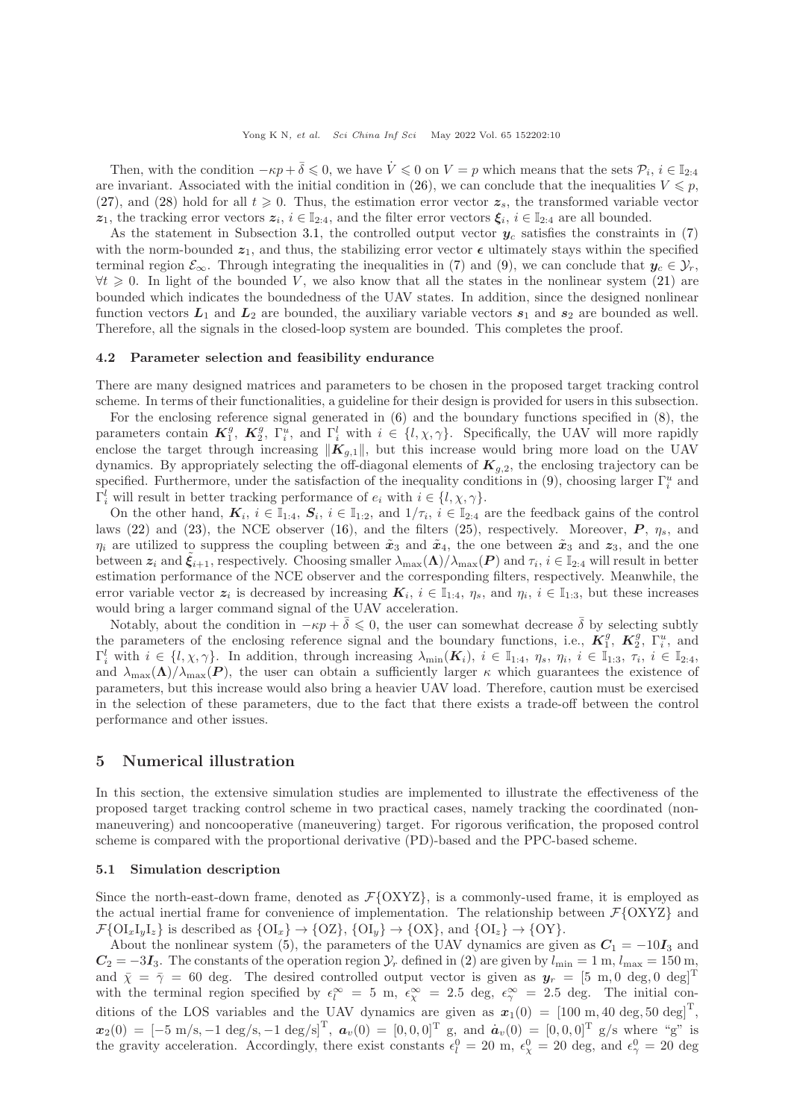Then, with the condition  $-\kappa p + \bar{\delta} \leqslant 0$ , we have  $\dot{V} \leqslant 0$  on  $V = p$  which means that the sets  $\mathcal{P}_i$ ,  $i \in \mathbb{I}_{2:4}$ are invariant. Associated with the initial condition in [\(26\)](#page-8-0), we can conclude that the inequalities  $V \leq p$ , [\(27\)](#page-8-3), and [\(28\)](#page-8-4) hold for all  $t \geq 0$ . Thus, the estimation error vector  $z_s$ , the transformed variable vector z<sub>1</sub>, the tracking error vectors  $z_i$ ,  $i \in \mathbb{I}_{2:4}$ , and the filter error vectors  $\xi_i$ ,  $i \in \mathbb{I}_{2:4}$  are all bounded.

As the statement in Subsection [3.1,](#page-4-6) the controlled output vector  $y_c$  satisfies the constraints in [\(7\)](#page-5-0) with the norm-bounded  $z_1$ , and thus, the stabilizing error vector  $\epsilon$  ultimately stays within the specified terminal region  $\mathcal{E}_{\infty}$ . Through integrating the inequalities in [\(7\)](#page-5-0) and [\(9\)](#page-5-4), we can conclude that  $y_c \in \mathcal{Y}_r$ ,  $\forall t \geq 0$ . In light of the bounded V, we also know that all the states in the nonlinear system [\(21\)](#page-7-4) are bounded which indicates the boundedness of the UAV states. In addition, since the designed nonlinear function vectors  $L_1$  and  $L_2$  are bounded, the auxiliary variable vectors  $s_1$  and  $s_2$  are bounded as well. Therefore, all the signals in the closed-loop system are bounded. This completes the proof.

#### 4.2 Parameter selection and feasibility endurance

There are many designed matrices and parameters to be chosen in the proposed target tracking control scheme. In terms of their functionalities, a guideline for their design is provided for users in this subsection.

For the enclosing reference signal generated in [\(6\)](#page-4-5) and the boundary functions specified in [\(8\)](#page-5-1), the parameters contain  $\mathbf{K}_1^g$ ,  $\mathbf{K}_2^g$ ,  $\Gamma_i^u$ , and  $\Gamma_i^l$  with  $i \in \{l, \chi, \gamma\}$ . Specifically, the UAV will more rapidly enclose the target through increasing  $\|\mathbf{K}_{q,1}\|$ , but this increase would bring more load on the UAV dynamics. By appropriately selecting the off-diagonal elements of  $K_{q,2}$ , the enclosing trajectory can be specified. Furthermore, under the satisfaction of the inequality conditions in [\(9\)](#page-5-4), choosing larger  $\Gamma_i^u$  and  $\Gamma_i^l$  will result in better tracking performance of  $e_i$  with  $i \in \{l, \chi, \gamma\}$ .

On the other hand,  $\mathbf{K}_i$ ,  $i \in \mathbb{I}_{1:4}$ ,  $\mathbf{S}_i$ ,  $i \in \mathbb{I}_{1:2}$ , and  $1/\tau_i$ ,  $i \in \mathbb{I}_{2:4}$  are the feedback gains of the control laws [\(22\)](#page-7-2) and [\(23\)](#page-7-3), the NCE observer [\(16\)](#page-6-3), and the filters [\(25\)](#page-8-2), respectively. Moreover,  $P$ ,  $\eta_s$ , and  $\eta_i$  are utilized to suppress the coupling between  $\tilde{x}_3$  and  $\tilde{x}_4$ , the one between  $\tilde{x}_3$  and  $z_3$ , and the one between  $z_i$  and  $\tilde{\xi}_{i+1}$ , respectively. Choosing smaller  $\lambda_{\max}(\mathbf{\Lambda})/\lambda_{\max}(\mathbf{P})$  and  $\tau_i$ ,  $i \in \mathbb{I}_{2:4}$  will result in better estimation performance of the NCE observer and the corresponding filters, respectively. Meanwhile, the error variable vector  $z_i$  is decreased by increasing  $K_i$ ,  $i \in \mathbb{I}_{1:4}$ ,  $\eta_s$ , and  $\eta_i$ ,  $i \in \mathbb{I}_{1:3}$ , but these increases would bring a larger command signal of the UAV acceleration.

Notably, about the condition in  $-\kappa p + \bar{\delta} \leq 0$ , the user can somewhat decrease  $\bar{\delta}$  by selecting subtly the parameters of the enclosing reference signal and the boundary functions, i.e.,  $\mathbf{K}_1^g$ ,  $\mathbf{K}_2^g$ ,  $\Gamma_i^u$ , and  $\Gamma_i^l$  with  $i \in \{l, \chi, \gamma\}$ . In addition, through increasing  $\lambda_{\min}(\boldsymbol{K}_i)$ ,  $i \in \mathbb{I}_{1:4}$ ,  $\eta_s$ ,  $\eta_i$ ,  $i \in \mathbb{I}_{1:3}$ ,  $\tau_i$ ,  $i \in \mathbb{I}_{2:4}$ , and  $\lambda_{\max}(\Lambda)/\lambda_{\max}(P)$ , the user can obtain a sufficiently larger  $\kappa$  which guarantees the existence of parameters, but this increase would also bring a heavier UAV load. Therefore, caution must be exercised in the selection of these parameters, due to the fact that there exists a trade-off between the control performance and other issues.

# <span id="page-9-0"></span>5 Numerical illustration

In this section, the extensive simulation studies are implemented to illustrate the effectiveness of the proposed target tracking control scheme in two practical cases, namely tracking the coordinated (nonmaneuvering) and noncooperative (maneuvering) target. For rigorous verification, the proposed control scheme is compared with the proportional derivative (PD)-based and the PPC-based scheme.

#### 5.1 Simulation description

Since the north-east-down frame, denoted as  $\mathcal{F}\{\text{OXYZ}\}\)$ , is a commonly-used frame, it is employed as the actual inertial frame for convenience of implementation. The relationship between  $\mathcal{F} \{OXYZ\}$  and  $\mathcal{F}\{\mathrm{OI}_x\mathrm{I}_y\mathrm{I}_z\}$  is described as  $\{\mathrm{OI}_x\} \rightarrow \{\mathrm{OZ}\}, \{\mathrm{OI}_y\} \rightarrow \{\mathrm{OX}\}, \text{and } \{\mathrm{OI}_z\} \rightarrow \{\mathrm{OY}\}.$ 

About the nonlinear system [\(5\)](#page-4-1), the parameters of the UAV dynamics are given as  $C_1 = -10I_3$  and  $C_2 = -3I_3$ . The constants of the operation region  $\mathcal{Y}_r$  defined in [\(2\)](#page-3-2) are given by  $l_{\min} = 1$  m,  $l_{\max} = 150$  m, and  $\bar{\chi} = \bar{\gamma} = 60$  deg. The desired controlled output vector is given as  $y_r = [5 \text{ m}, 0 \text{ deg}, 0 \text{ deg}]^T$ with the terminal region specified by  $\epsilon_l^{\infty} = 5$  m,  $\epsilon_{\chi}^{\infty} = 2.5$  deg,  $\epsilon_{\gamma}^{\infty} = 2.5$  deg. The initial conditions of the LOS variables and the UAV dynamics are given as  $x_1(0) = [100 \text{ m}, 40 \text{ deg}, 50 \text{ deg}]^T$ ,  $x_2(0) = [-5 \text{ m/s}, -1 \text{ deg/s}, -1 \text{ deg/s}]^{\text{T}}$ ,  $a_v(0) = [0, 0, 0]^{\text{T}}$  g, and  $a_v(0) = [0, 0, 0]^{\text{T}}$  g/s where "g" is the gravity acceleration. Accordingly, there exist constants  $\epsilon_l^0 = 20$  m,  $\epsilon_\chi^0 = 20$  deg, and  $\epsilon_\gamma^0 = 20$  deg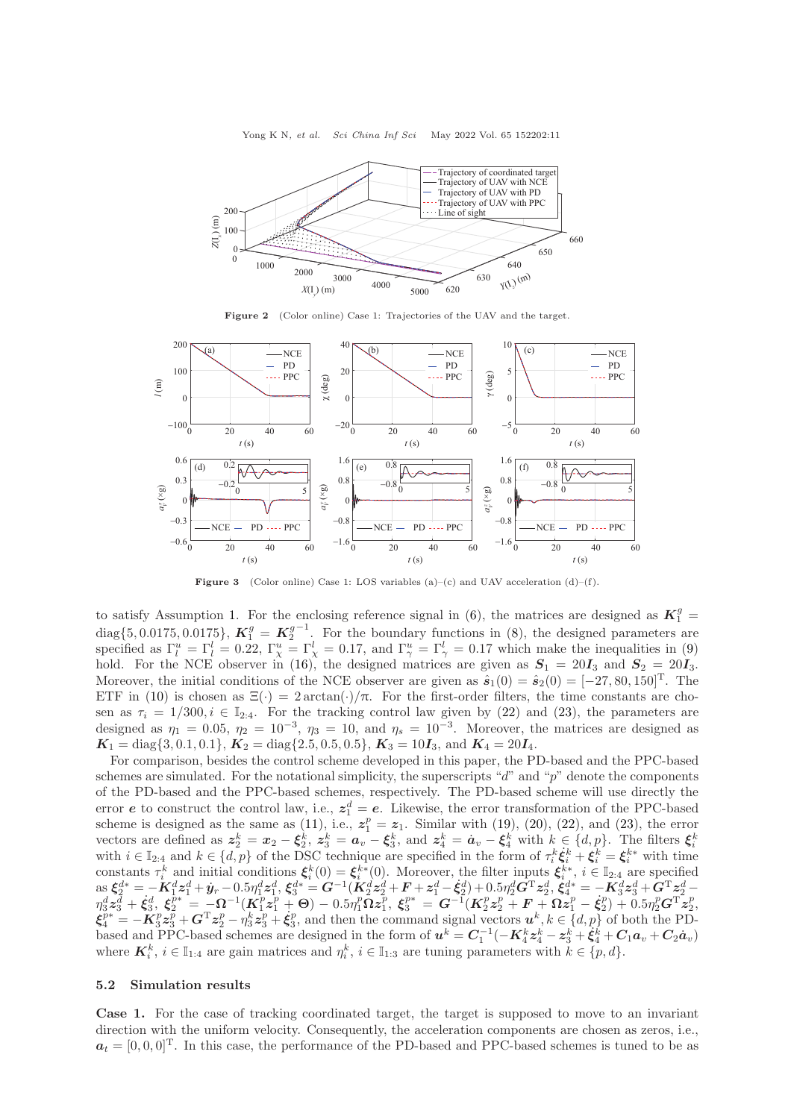Yong K N, et al. Sci China Inf Sci May 2022 Vol. 65 152202:11

<span id="page-10-0"></span>

Figure 2 (Color online) Case 1: Trajectories of the UAV and the target.

<span id="page-10-1"></span>

**Figure 3** (Color online) Case 1: LOS variables (a)–(c) and UAV acceleration (d)–(f).

to satisfy Assumption [1.](#page-4-2) For the enclosing reference signal in [\(6\)](#page-4-5), the matrices are designed as  $K_1^g$  = diag $\{5, 0.0175, 0.0175\}$ ,  $\mathbf{K}_1^g = \mathbf{K}_2^g$  $^{-1}$ . For the boundary functions in [\(8\)](#page-5-1), the designed parameters are specified as  $\Gamma_l^u = \Gamma_l^l = 0.22$ ,  $\Gamma_\chi^u = \Gamma_\chi^l = 0.17$ , and  $\Gamma_\gamma^u = \Gamma_\gamma^l = 0.17$  which make the inequalities in [\(9\)](#page-5-4) hold. For the NCE observer in [\(16\)](#page-6-3), the designed matrices are given as  $S_1 = 20I_3$  and  $S_2 = 20I_3$ . Moreover, the initial conditions of the NCE observer are given as  $\hat{s}_1(0) = \hat{s}_2(0) = [-27, 80, 150]^T$ . The ETF in [\(10\)](#page-5-2) is chosen as  $\Xi(\cdot) = 2 \arctan(\cdot)/\pi$ . For the first-order filters, the time constants are chosen as  $\tau_i = 1/300, i \in \mathbb{I}_{2:4}$ . For the tracking control law given by [\(22\)](#page-7-2) and [\(23\)](#page-7-3), the parameters are designed as  $\eta_1 = 0.05$ ,  $\eta_2 = 10^{-3}$ ,  $\eta_3 = 10$ , and  $\eta_s = 10^{-3}$ . Moreover, the matrices are designed as  $K_1 = \text{diag}\{3, 0.1, 0.1\}, K_2 = \text{diag}\{2.5, 0.5, 0.5\}, K_3 = 10I_3$ , and  $K_4 = 20I_4$ .

For comparison, besides the control scheme developed in this paper, the PD-based and the PPC-based schemes are simulated. For the notational simplicity, the superscripts " $d$ " and "p" denote the components of the PD-based and the PPC-based schemes, respectively. The PD-based scheme will use directly the error e to construct the control law, i.e.,  $z_1^d = e$ . Likewise, the error transformation of the PPC-based scheme is designed as the same as [\(11\)](#page-5-3), i.e.,  $z_1^p = z_1$ . Similar with [\(19\)](#page-7-6), [\(20\)](#page-7-5), [\(22\)](#page-7-2), and [\(23\)](#page-7-3), the error vectors are defined as  $\mathbf{z}_2^k = \mathbf{x}_2 - \xi_2^k$ ,  $\mathbf{z}_3^k = \mathbf{a}_v - \xi_3^k$ , and  $\mathbf{z}_4^k = \dot{\mathbf{a}}_v - \xi_4^k$  with  $k \in \{d, p\}$ . The filters  $\xi_i^k$  with  $i \in \mathbb{I}_{2:4}$  and  $k \in \{d, p\}$  of the DSC technique are specifi constants  $\tau_i^k$  and initial conditions  $\xi_i^k(0) = \xi_i^{k*}(0)$ . Moreover, the filter inputs  $\xi_i^{k*}$ ,  $i \in \mathbb{I}_{2:4}$  are specified  $\text{Res}_{1,2} \xi_{2}^{d*} = -K_{1,2}^{d} z_{1}^{d} + y_{r} - 0.5 \eta_{1}^{d} z_{1}^{d}, \xi_{3}^{d*} = G^{-1} (K_{2}^{d} z_{2}^{d} + F + z_{1}^{d} - \xi_{2}^{d}) + 0.5 \eta_{2}^{d} G^{T} z_{2}^{d}, \xi_{4}^{d*} = -K_{3}^{d} z_{3}^{d} + G^{T} z_{2}^{d} - 0.5 \eta_{3}^{d} z_{3}^{d} + 0.5 \eta_{4}^{d} z_{4}^{d} + 0.5 \eta_{5}$  $\eta_3^d \bm{z}_3^{\bar{d}} + \dot{\bm{\xi}}_3^d, \, \bm{\xi}_2^{p*} = -\bm{\Omega}^{-1}(\bm{K}_1^p \bm{z}_1^p + \bm{\Theta}) - 0.5 \eta_1^p \bm{\Omega} \bm{z}_1^p, \, \bm{\xi}_3^{p*} = \bm{G}^{-1}(\bm{K}_2^p \bm{z}_2^p + \bm{F} + \bm{\Omega} \bm{z}_1^p - \dot{\bm{\xi}}_2^p) + 0.5 \eta_2^p \bm{G}^{\rm T} \bm{z}_2^p,$  $\mathbf{\dot{\xi}}_4^{p*} = -\mathbf{K}_3^p \mathbf{z}_3^{\bar{p}} + \mathbf{G}^{\mathrm{T}} \mathbf{z}_2^p - \eta_3^k \mathbf{z}_3^p + \mathbf{\dot{\xi}}_3^p$ , and then the command signal vectors  $\mathbf{u}^k, k \in \{d, p\}$  of both the PDbased and PPC-based schemes are designed in the form of  $u^k = C_1^{-1}(-K_4^k z_4^k - z_3^k + \xi_4^k + C_1 a_v + C_2 a_v)$ where  $\mathbf{K}_i^k$ ,  $i \in \mathbb{I}_{1:4}$  are gain matrices and  $\eta_i^k$ ,  $i \in \mathbb{I}_{1:3}$  are tuning parameters with  $k \in \{p, d\}$ .

# 5.2 Simulation results

Case 1. For the case of tracking coordinated target, the target is supposed to move to an invariant direction with the uniform velocity. Consequently, the acceleration components are chosen as zeros, i.e.,  $a_t = [0, 0, 0]^T$ . In this case, the performance of the PD-based and PPC-based schemes is tuned to be as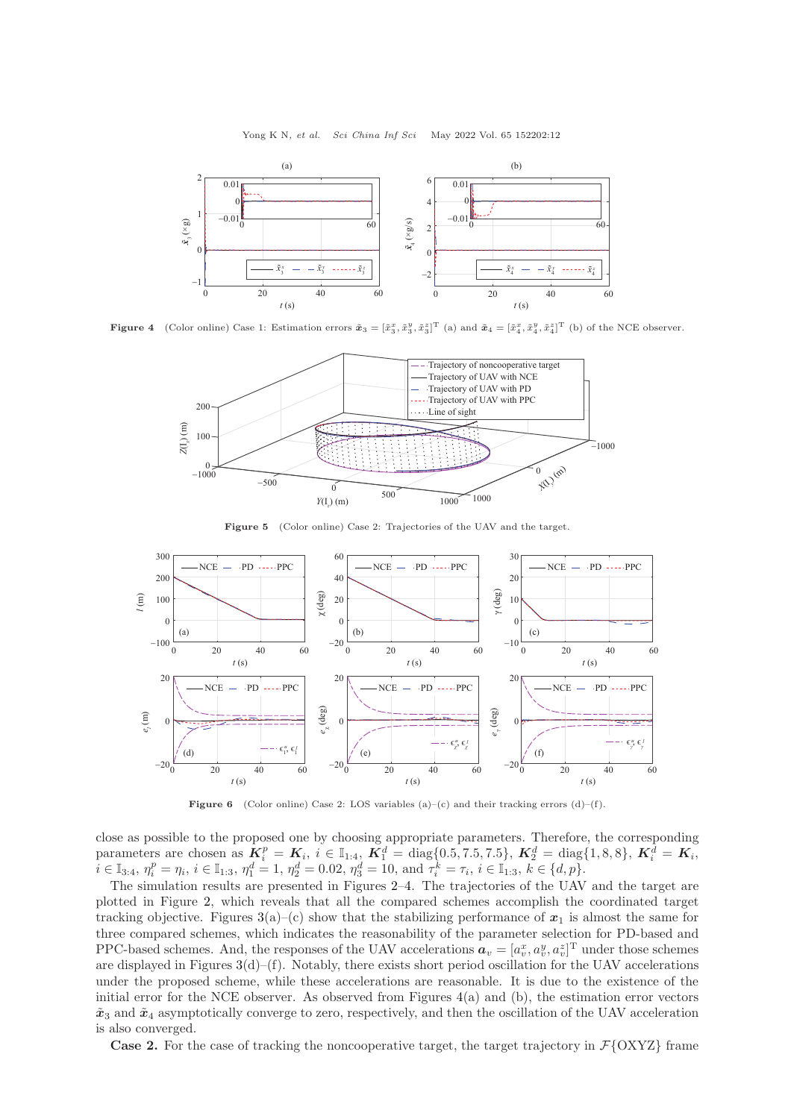Yong K N, et al. Sci China Inf Sci May 2022 Vol. 65 152202:12

<span id="page-11-0"></span>

<span id="page-11-1"></span>**Figure 4** (Color online) Case 1: Estimation errors  $\tilde{\boldsymbol{x}}_3 = [\tilde{x}_3^x, \tilde{x}_3^y, \tilde{x}_3^z]^T$  (a) and  $\tilde{\boldsymbol{x}}_4 = [\tilde{x}_4^x, \tilde{x}_4^y, \tilde{x}_4^z]^T$  (b) of the NCE observer.



Figure 5 (Color online) Case 2: Trajectories of the UAV and the target.

<span id="page-11-2"></span>

Figure 6 (Color online) Case 2: LOS variables  $(a)-(c)$  and their tracking errors  $(d)-(f)$ .

close as possible to the proposed one by choosing appropriate parameters. Therefore, the corresponding parameters are chosen as  $\mathbf{K}_i^p = \mathbf{K}_i$ ,  $i \in \mathbb{I}_{1:4}$ ,  $\mathbf{K}_1^d = \text{diag}\{0.5, 7.5, 7.5\}$ ,  $\mathbf{K}_2^d = \text{diag}\{1, 8, 8\}$ ,  $\mathbf{K}_i^d = \mathbf{K}_i$ ,  $\overline{n} \in \mathbb{I}_{3:4}, \eta_i^p = \eta_i, i \in \mathbb{I}_{1:3}, \eta_1^d = 1, \eta_2^d = 0.02, \eta_3^d = 10, \text{ and } \overline{\tau}_i^k = \tau_i, i \in \mathbb{I}_{1:3}, k \in \{d, p\}.$ 

The simulation results are presented in Figures [2](#page-10-0)[–4.](#page-11-0) The trajectories of the UAV and the target are plotted in Figure [2,](#page-10-0) which reveals that all the compared schemes accomplish the coordinated target tracking objective. Figures  $3(a)$  $3(a)$ –(c) show that the stabilizing performance of  $x_1$  is almost the same for three compared schemes, which indicates the reasonability of the parameter selection for PD-based and PPC-based schemes. And, the responses of the UAV accelerations  $a_v = [a_v^x, a_v^y, a_v^z]^T$  under those schemes are displayed in Figures  $3(d)$  $3(d)$ –(f). Notably, there exists short period oscillation for the UAV accelerations under the proposed scheme, while these accelerations are reasonable. It is due to the existence of the initial error for the NCE observer. As observed from Figures [4\(](#page-11-0)a) and (b), the estimation error vectors  $\tilde{x}_3$  and  $\tilde{x}_4$  asymptotically converge to zero, respectively, and then the oscillation of the UAV acceleration is also converged.

**Case 2.** For the case of tracking the noncooperative target, the target trajectory in  $\mathcal{F} \{OXYZ\}$  frame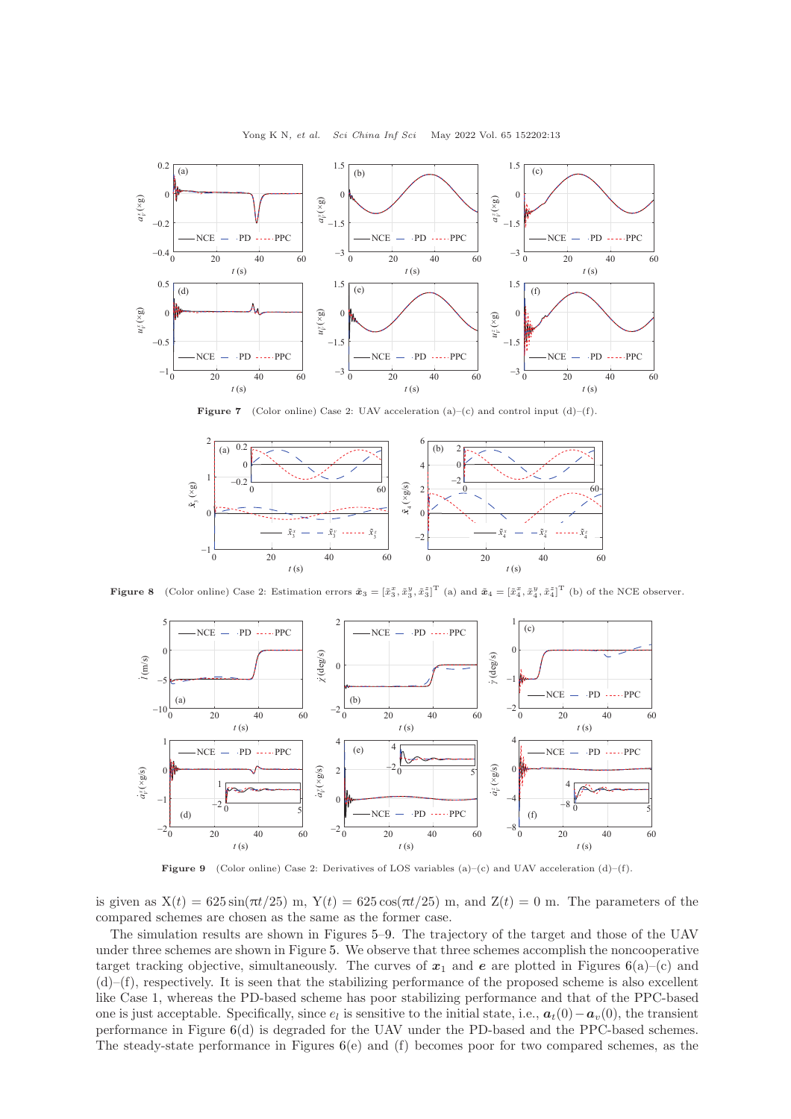<span id="page-12-1"></span>

Yong K N, et al. Sci China Inf Sci May 2022 Vol. 65 152202:13

**Figure 7** (Color online) Case 2: UAV acceleration  $(a)$ –(c) and control input  $(d)$ –(f).

<span id="page-12-2"></span>

<span id="page-12-0"></span>**Figure 8** (Color online) Case 2: Estimation errors  $\tilde{\boldsymbol{x}}_3 = [\tilde{x}_3^x, \tilde{x}_3^y, \tilde{x}_3^z]^T$  (a) and  $\tilde{\boldsymbol{x}}_4 = [\tilde{x}_4^x, \tilde{x}_4^y, \tilde{x}_4^z]^T$  (b) of the NCE observer.



**Figure 9** (Color online) Case 2: Derivatives of LOS variables (a)–(c) and UAV acceleration (d)–(f).

is given as  $X(t) = 625 \sin(\pi t/25)$  m,  $Y(t) = 625 \cos(\pi t/25)$  m, and  $Z(t) = 0$  m. The parameters of the compared schemes are chosen as the same as the former case.

The simulation results are shown in Figures [5–](#page-11-1)[9.](#page-12-0) The trajectory of the target and those of the UAV under three schemes are shown in Figure [5.](#page-11-1) We observe that three schemes accomplish the noncooperative target tracking objective, simultaneously. The curves of  $x_1$  and  $e$  are plotted in Figures [6\(](#page-11-2)a)–(c) and  $(d)$ – $(f)$ , respectively. It is seen that the stabilizing performance of the proposed scheme is also excellent like Case 1, whereas the PD-based scheme has poor stabilizing performance and that of the PPC-based one is just acceptable. Specifically, since  $e_l$  is sensitive to the initial state, i.e.,  $a_t(0) - a_v(0)$ , the transient performance in Figure [6\(](#page-11-2)d) is degraded for the UAV under the PD-based and the PPC-based schemes. The steady-state performance in Figures  $6(e)$  $6(e)$  and (f) becomes poor for two compared schemes, as the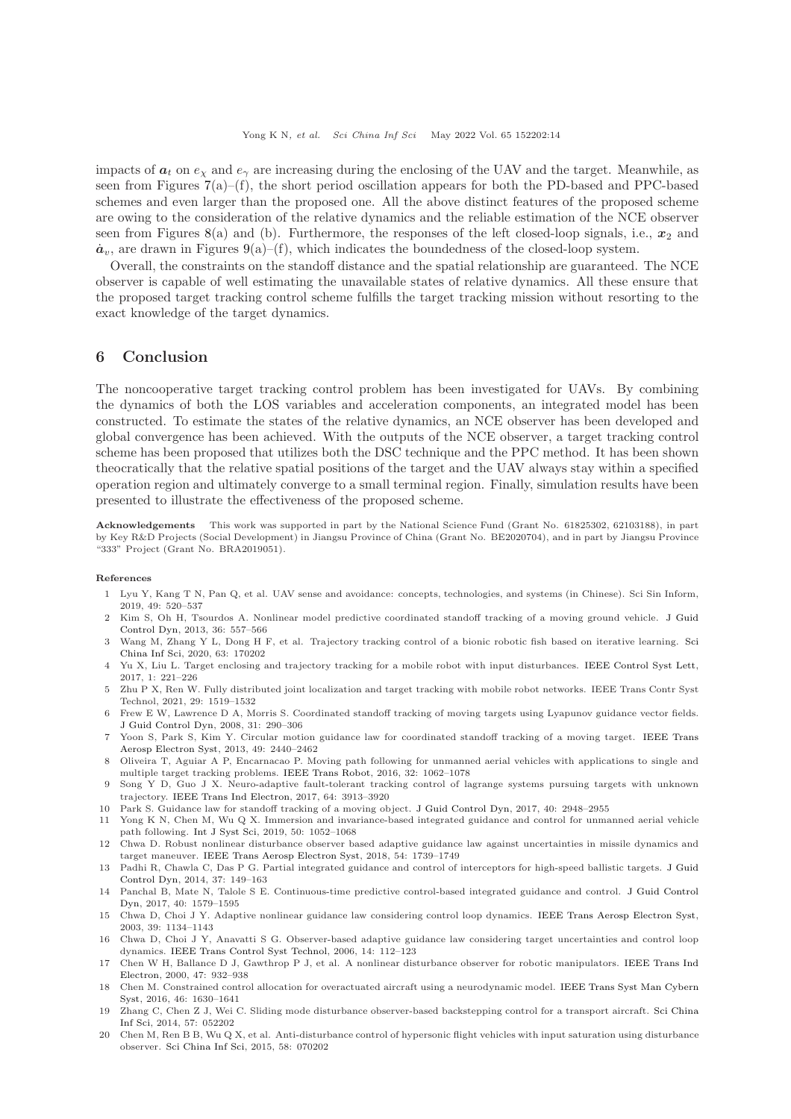impacts of  $a_t$  on  $e_\gamma$  and  $e_\gamma$  are increasing during the enclosing of the UAV and the target. Meanwhile, as seen from Figures  $7(a)$  $7(a)$ –(f), the short period oscillation appears for both the PD-based and PPC-based schemes and even larger than the proposed one. All the above distinct features of the proposed scheme are owing to the consideration of the relative dynamics and the reliable estimation of the NCE observer seen from Figures [8\(](#page-12-2)a) and (b). Furthermore, the responses of the left closed-loop signals, i.e.,  $x_2$  and  $\dot{a}_v$ , are drawn in Figures [9\(](#page-12-0)a)–(f), which indicates the boundedness of the closed-loop system.

Overall, the constraints on the standoff distance and the spatial relationship are guaranteed. The NCE observer is capable of well estimating the unavailable states of relative dynamics. All these ensure that the proposed target tracking control scheme fulfills the target tracking mission without resorting to the exact knowledge of the target dynamics.

# <span id="page-13-16"></span>6 Conclusion

The noncooperative target tracking control problem has been investigated for UAVs. By combining the dynamics of both the LOS variables and acceleration components, an integrated model has been constructed. To estimate the states of the relative dynamics, an NCE observer has been developed and global convergence has been achieved. With the outputs of the NCE observer, a target tracking control scheme has been proposed that utilizes both the DSC technique and the PPC method. It has been shown theocratically that the relative spatial positions of the target and the UAV always stay within a specified operation region and ultimately converge to a small terminal region. Finally, simulation results have been presented to illustrate the effectiveness of the proposed scheme.

Acknowledgements This work was supported in part by the National Science Fund (Grant No. 61825302, 62103188), in part by Key R&D Projects (Social Development) in Jiangsu Province of China (Grant No. BE2020704), and in part by Jiangsu Province "333" Project (Grant No. BRA2019051).

#### <span id="page-13-0"></span>References

- 1 Lyu Y, Kang T N, Pan Q, et al. UAV sense and avoidance: concepts, technologies, and systems (in Chinese). Sci Sin Inform, 2019, 49: 520–537
- <span id="page-13-1"></span>2 Kim S, Oh H, Tsourdos A. Nonlinear model predictive coordinated standoff tracking of a moving ground vehicle. J Guid Control Dyn, 2013, 36: 557–566
- <span id="page-13-2"></span>3 Wang M, Zh[ang Y L, Dong H F, et al. Trajectory tracking control of a bionic robotic fish based on iterative learning.](https://doi.org/10.1007/s11432-019-2760-5) Sci China Inf Sci, 2020, 63: 170202
- <span id="page-13-18"></span>4 Yu X, Liu L. Target enclosing and trajectory tracking for a mobile robot with input disturbances. [IEEE Control Syst Lett,](https://doi.org/10.1109/LCSYS.2017.2712663) 2017, 1: 221–226
- <span id="page-13-3"></span>5 Zhu P X, Ren W. Fully distributed joint localization and target tracking with mobile robot networks. IEEE Trans Contr Syst Technol, 2021, 29: 1519–1532
- <span id="page-13-4"></span>6 Frew E W, Lawrence D A, Morris S. Coordinated standoff tracking of moving targets using Lyapunov guidance vector fields. [J Guid Control Dyn,](https://doi.org/10.2514/1.30507) 2008, 31: 290–306
- <span id="page-13-5"></span>7 Yoon S, Park S, Kim Y. Circular motion guidance law for coordinated standoff tracking of a moving target. IEEE Trans Aerosp Electron Syst, 2013, 49: 2440–2462
- <span id="page-13-6"></span>8 Oliveira T, Aguiar A P, Encarnacao P. Moving path following for unmanned aerial vehicles with applications to single and multiple target tracking problems. [IEEE Trans Robot,](https://doi.org/10.1109/TRO.2016.2593044) 2016, 32: 1062–1078
- <span id="page-13-7"></span>9 Song Y D, Guo J X. Neuro-adaptive fault-tolerant tracking control of lagrange systems pursuing targets with unknown trajectory. [IEEE Trans Ind Electron,](https://doi.org/10.1109/TIE.2016.2644606) 2017, 64: 3913–3920
- <span id="page-13-9"></span><span id="page-13-8"></span>10 Park S. Guidance law for standoff tracking of a moving object. [J Guid Control Dyn,](https://doi.org/10.2514/1.G002707) 2017, 40: 2948–2955
- 11 Yong K N, Chen M, Wu Q X. Immersion and invariance-based integrated guidance and control for unmanned aerial vehicle path following. [Int J Syst Sci,](https://doi.org/10.1080/00207721.2019.1587544) 2019, 50: 1052–1068
- <span id="page-13-10"></span>12 Chwa D. Robust nonlinear disturbance observer based adaptive guidance law against uncertainties in missile dynamics and target maneuver. [IEEE Trans Aerosp Electron Syst,](https://doi.org/10.1109/TAES.2018.2801392) 2018, 54: 1739–1749
- <span id="page-13-11"></span>13 Padhi R, Chawla C, Das P G. Partial integrated guidance and control of interceptors for high-speed ballistic targets. J Guid Control Dyn, 2014, 37: 149–163
- 14 Panchal B, Mate N, Talole S E. Continuous-time predictive control-based integrated guidance and control. J Guid Control Dyn, 2017, 40: 1579–1595
- <span id="page-13-17"></span>15 Chwa D, Choi J Y. Adaptive nonlinear guidance law considering control loop dynamics. [IEEE Trans Aerosp Electron Syst,](https://doi.org/10.1109/TAES.2003.1261117) 2003, 39: 1134–1143
- <span id="page-13-12"></span>16 Chwa D, Choi J Y, Anavatti S G. Observer-based adaptive guidance law considering target uncertainties and control loop dynamics. [IEEE Trans Control Syst Technol,](https://doi.org/10.1109/TCST.2005.860529) 2006, 14: 112–123
- <span id="page-13-13"></span>17 Chen W [H, Ballance D J, Gawthrop P J, et al. A nonlinear disturbance observer for robotic manipulators.](https://doi.org/10.1109/41.857974) IEEE Trans Ind Electron, 2000, 47: 932–938
- <span id="page-13-14"></span>18 Chen M. Constrained control allocation for overactuated aircraft using a neurodynamic model. IEEE Trans Syst Man Cybern Syst, 2016, 46: 1630–1641
- 19 Zhang [C, Chen Z J, Wei C. Sliding mode disturbance observer-based backstepping control for a transport aircraft.](https://doi.org/10.1007/s11432-013-4787-8) Sci China Inf Sci, 2014, 57: 052202
- <span id="page-13-15"></span>20 Chen M, Ren B B, Wu Q X, et al. Anti-disturbance control of hypersonic flight vehicles with input saturation using disturbance observer. [Sci China Inf Sci,](https://doi.org/10.1007/s11432-015-5337-3) 2015, 58: 070202